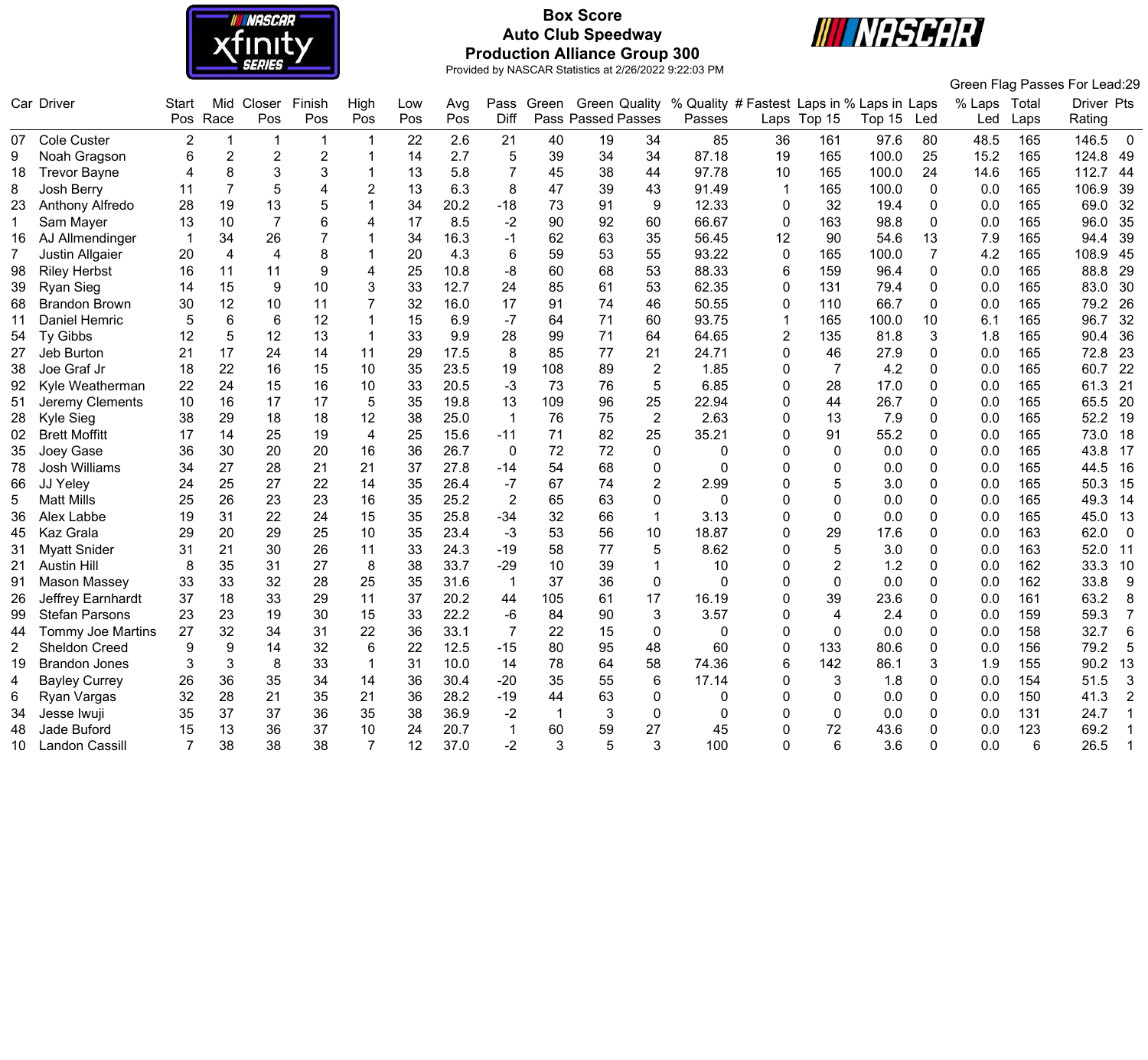

# **Box Score Auto Club Speedway Production Alliance Group 300**



Green Flag Passes For Lead:29

|                       | Car Driver               | <b>Start</b>   | Mid            | Closer         | Finish         | High                    | Low | Avg  | Pass           | Green        | <b>Green Quality</b> |                | % Quality # Fastest Laps in % Laps in Laps |             |                |        |                | % Laps | Total | <b>Driver Pts</b>       |
|-----------------------|--------------------------|----------------|----------------|----------------|----------------|-------------------------|-----|------|----------------|--------------|----------------------|----------------|--------------------------------------------|-------------|----------------|--------|----------------|--------|-------|-------------------------|
|                       |                          | Pos            | Race           | Pos            | Pos            | Pos                     | Pos | Pos  | Diff           |              | Pass Passed Passes   |                | Passes                                     |             | Laps Top 15    | Top 15 | Led            | Led    | Laps  | Rating                  |
|                       | 07 Cole Custer           | $\overline{2}$ | $\overline{1}$ | -1             | $\mathbf 1$    |                         | 22  | 2.6  | 21             | 40           | 19                   | 34             | 85                                         | 36          | 161            | 97.6   | 80             | 48.5   | 165   | 146.5<br>$\overline{0}$ |
|                       | Noah Gragson             | 6              | 2              | $\overline{2}$ | $\overline{c}$ |                         | 14  | 2.7  | 5              | 39           | 34                   | 34             | 87.18                                      | 19          | 165            | 100.0  | 25             | 15.2   | 165   | 124.8<br>49             |
| 18                    | <b>Trevor Bayne</b>      |                | 8              | 3              | 3              |                         | 13  | 5.8  | $\overline{7}$ | 45           | 38                   | 44             | 97.78                                      | 10          | 165            | 100.0  | 24             | 14.6   | 165   | 112.7<br>44             |
| 8                     | Josh Berry               | 11             | 7              | 5              | 4              | 2                       | 13  | 6.3  | 8              | 47           | 39                   | 43             | 91.49                                      | $\mathbf 1$ | 165            | 100.0  | $\mathbf{0}$   | 0.0    | 165   | 106.9<br>39             |
| 23                    | Anthony Alfredo          | 28             | 19             | 13             | 5              |                         | 34  | 20.2 | $-18$          | 73           | 91                   | 9              | 12.33                                      | 0           | 32             | 19.4   | $\mathbf 0$    | 0.0    | 165   | 69.0<br>32              |
|                       | Sam Mayer                | 13             | 10             | $\overline{7}$ | 6              | 4                       | 17  | 8.5  | $-2$           | 90           | 92                   | 60             | 66.67                                      | 0           | 163            | 98.8   | $\mathbf{0}$   | 0.0    | 165   | 96.0<br>35              |
| 16                    | AJ Allmendinger          |                | 34             | 26             | 7              |                         | 34  | 16.3 | -1             | 62           | 63                   | 35             | 56.45                                      | 12          | 90             | 54.6   | 13             | 7.9    | 165   | 39<br>94.4              |
| 7                     | Justin Allgaier          | 20             | $\overline{4}$ | 4              | 8              |                         | 20  | 4.3  | 6              | 59           | 53                   | 55             | 93.22                                      | 0           | 165            | 100.0  | $\overline{7}$ | 4.2    | 165   | 108.9<br>45             |
| 98                    | <b>Riley Herbst</b>      | 16             | 11             | 11             | 9              | 4                       | 25  | 10.8 | -8             | 60           | 68                   | 53             | 88.33                                      | 6           | 159            | 96.4   | $\mathbf{0}$   | 0.0    | 165   | 88.8<br>29              |
| 39                    | Ryan Sieg                | 14             | 15             | 9              | 10             |                         | 33  | 12.7 | 24             | 85           | 61                   | 53             | 62.35                                      | 0           | 131            | 79.4   | $\mathbf{0}$   | 0.0    | 165   | 83.0<br>30              |
| 68                    | <b>Brandon Brown</b>     | 30             | 12             | 10             | 11             |                         | 32  | 16.0 | 17             | 91           | 74                   | 46             | 50.55                                      | 0           | 110            | 66.7   | $\mathbf 0$    | 0.0    | 165   | 79.2<br>26              |
| 11                    | Daniel Hemric            |                | 6              | 6              | 12             |                         | 15  | 6.9  | $-7$           | 64           | 71                   | 60             | 93.75                                      | 1           | 165            | 100.0  | 10             | 6.1    | 165   | 96.7<br>32              |
| 54                    | <b>Ty Gibbs</b>          | 12             | 5              | 12             | 13             |                         | 33  | 9.9  | 28             | 99           | 71                   | 64             | 64.65                                      | 2           | 135            | 81.8   | 3              | 1.8    | 165   | 90.4<br>36              |
| 27                    | Jeb Burton               | 21             | 17             | 24             | 14             | 11                      | 29  | 17.5 | 8              | 85           | 77                   | 21             | 24.71                                      | 0           | 46             | 27.9   | $\Omega$       | 0.0    | 165   | 23<br>72.8              |
| 38                    | Joe Graf Jr              | 18             | 22             | 16             | 15             | 10                      | 35  | 23.5 | 19             | 108          | 89                   | $\overline{2}$ | 1.85                                       | 0           | $\overline{7}$ | 4.2    | $\Omega$       | 0.0    | 165   | 60.7<br>22              |
| 92                    | Kyle Weatherman          | 22             | 24             | 15             | 16             | 10                      | 33  | 20.5 | $-3$           | 73           | 76                   | 5              | 6.85                                       | 0           | 28             | 17.0   | 0              | 0.0    | 165   | 21<br>61.3              |
| 51                    | Jeremy Clements          | 10             | 16             | 17             | 17             | 5                       | 35  | 19.8 | 13             | 109          | 96                   | 25             | 22.94                                      | 0           | 44             | 26.7   | 0              | 0.0    | 165   | 20<br>65.5              |
| 28                    | Kyle Sieg                | 38             | 29             | 18             | 18             | 12                      | 38  | 25.0 | $\mathbf 1$    | 76           | 75                   | $\overline{2}$ | 2.63                                       | 0           | 13             | 7.9    | $\Omega$       | 0.0    | 165   | 52.2<br>19              |
| 02                    | <b>Brett Moffitt</b>     | 17             | 14             | 25             | 19             | $\overline{\mathbf{4}}$ | 25  | 15.6 | $-11$          | 71           | 82                   | 25             | 35.21                                      | 0           | 91             | 55.2   | $\mathbf{0}$   | 0.0    | 165   | 73.0<br>18              |
| 35                    | Joey Gase                | 36             | 30             | 20             | 20             | 16                      | 36  | 26.7 | $\mathbf 0$    | 72           | 72                   | 0              | 0                                          | 0           | 0              | 0.0    | $\Omega$       | 0.0    | 165   | 43.8<br>17              |
| 78                    | <b>Josh Williams</b>     | 34             | 27             | 28             | 21             | 21                      | 37  | 27.8 | $-14$          | 54           | 68                   | 0              | ∩                                          | U           | 0              | 0.0    | $\Omega$       | 0.0    | 165   | 44.5<br>16              |
| 66                    | JJ Yeley                 | 24             | 25             | 27             | 22             | 14                      | 35  | 26.4 | -7             | 67           | 74                   | $\overline{2}$ | 2.99                                       | 0           | 5              | 3.0    | $\Omega$       | 0.0    | 165   | 50.3<br>15              |
| 5                     | <b>Matt Mills</b>        | 25             | 26             | 23             | 23             | 16                      | 35  | 25.2 | 2              | 65           | 63                   | 0              | 0                                          | 0           | 0              | 0.0    | $\Omega$       | 0.0    | 165   | 49.3<br>14              |
| 36                    | Alex Labbe               | 19             | 31             | 22             | 24             | 15                      | 35  | 25.8 | $-34$          | 32           | 66                   | $\mathbf{1}$   | 3.13                                       | 0           | 0              | 0.0    | $\Omega$       | 0.0    | 165   | 45.0<br>13              |
| 45                    | <b>Kaz Grala</b>         | 29             | 20             | 29             | 25             | 10                      | 35  | 23.4 | $-3$           | 53           | 56                   | 10             | 18.87                                      | 0           | 29             | 17.6   | $\Omega$       | 0.0    | 163   | 62.0<br>$\overline{0}$  |
| 31                    | <b>Myatt Snider</b>      | 31             | 21             | 30             | 26             | 11                      | 33  | 24.3 | $-19$          | 58           | 77                   | 5              | 8.62                                       | 0           | 5              | 3.0    | $\Omega$       | 0.0    | 163   | 52.0<br>11              |
| 21                    | <b>Austin Hill</b>       | 8              | 35             | 31             | 27             | 8                       | 38  | 33.7 | $-29$          | 10           | 39                   | 1              | 10                                         | 0           | 2              | 1.2    | $\Omega$       | 0.0    | 162   | 33.3<br>10              |
| 91                    | <b>Mason Massey</b>      | 33             | 33             | 32             | 28             | 25                      | 35  | 31.6 |                | 37           | 36                   | $\Omega$       | $\Omega$                                   | 0           | 0              | 0.0    | $\Omega$       | 0.0    | 162   | 33.8<br>9               |
| 26                    | Jeffrey Earnhardt        | 37             | 18             | 33             | 29             | 11                      | 37  | 20.2 | 44             | 105          | 61                   | 17             | 16.19                                      | 0           | 39             | 23.6   | $\Omega$       | 0.0    | 161   | 63.2<br>8               |
| 99                    | <b>Stefan Parsons</b>    | 23             | 23             | 19             | 30             | 15                      | 33  | 22.2 | -6             | 84           | 90                   | 3              | 3.57                                       | 0           | 4              | 2.4    | $\Omega$       | 0.0    | 159   | 59.3<br>$\overline{7}$  |
| 44                    | <b>Tommy Joe Martins</b> | 27             | 32             | 34             | 31             | 22                      | 36  | 33.1 | $\overline{7}$ | 22           | 15                   | 0              | 0                                          | 0           | 0              | 0.0    | 0              | 0.0    | 158   | 32.7<br>$6\phantom{1}$  |
| $\mathbf{2}^{\prime}$ | <b>Sheldon Creed</b>     |                | 9              | 14             | 32             | 6                       | 22  | 12.5 | $-15$          | 80           | 95                   | 48             | 60                                         | 0           | 133            | 80.6   | $\Omega$       | 0.0    | 156   | 79.2<br>5               |
| 19                    | <b>Brandon Jones</b>     |                | 3              | 8              | 33             | $\mathbf 1$             | 31  | 10.0 | 14             | 78           | 64                   | 58             | 74.36                                      | 6           | 142            | 86.1   | 3              | 1.9    | 155   | 90.2<br>13              |
| 4                     | <b>Bayley Currey</b>     | 26             | 36             | 35             | 34             | 14                      | 36  | 30.4 | $-20$          | 35           | 55                   | 6              | 17.14                                      | 0           | 3              | 1.8    | $\Omega$       | 0.0    | 154   | 51.5<br>$\mathbf{3}$    |
|                       | Ryan Vargas              | 32             | 28             | 21             | 35             | 21                      | 36  | 28.2 | $-19$          | 44           | 63                   | 0              | O                                          | U           | $\Omega$       | 0.0    | $\Omega$       | 0.0    | 150   | 41.3<br>$\overline{2}$  |
| 34                    | Jesse Iwuji              | 35             | 37             | 37             | 36             | 35                      | 38  | 36.9 | $-2$           | $\mathbf{1}$ | 3                    | 0              | O                                          | O           | $\Omega$       | 0.0    | ∩              | 0.0    | 131   | 24.7                    |
| 48                    | Jade Buford              | 15             | 13             | 36             | 37             | 10                      | 24  | 20.7 |                | 60           | 59                   | 27             | 45                                         | 0           | 72             | 43.6   | ∩              | 0.0    | 123   | 69.2                    |
| 10                    | <b>Landon Cassill</b>    |                | 38             | 38             | 38             |                         | 12  | 37.0 | $-2$           | 3            |                      | 3              | 100                                        | O           | 6              | 3.6    | $\Omega$       | 0.0    | 6     | 26.5<br>$\mathbf{1}$    |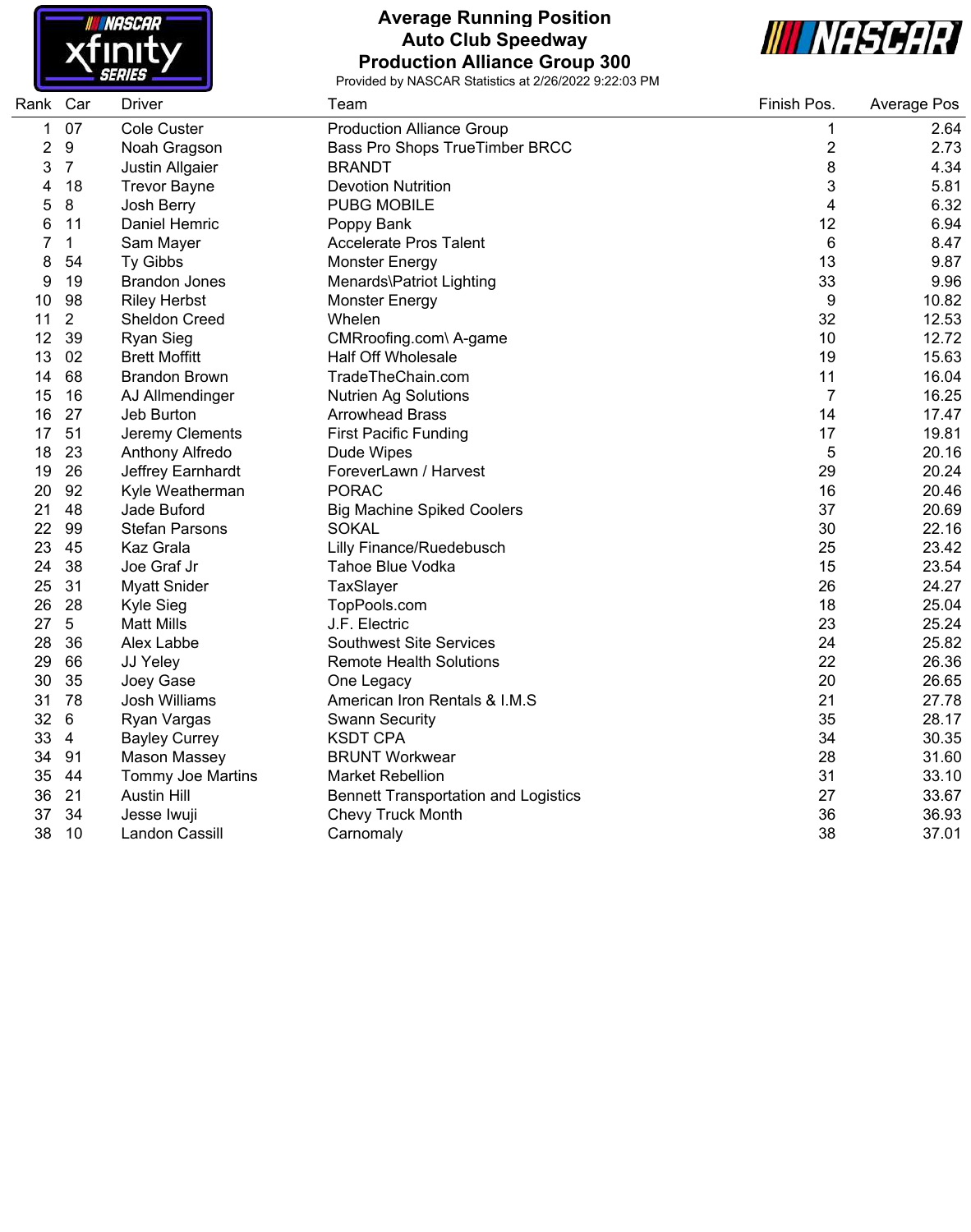

#### **Average Running Position Auto Club Speedway Production Alliance Group 300**



| Rank Car |                | <b>Driver</b>         | Team                                        | Finish Pos.             | <b>Average Pos</b> |
|----------|----------------|-----------------------|---------------------------------------------|-------------------------|--------------------|
| 1        | 07             | Cole Custer           | <b>Production Alliance Group</b>            | $\mathbf 1$             | 2.64               |
| 2        | 9              | Noah Gragson          | Bass Pro Shops TrueTimber BRCC              | $\overline{\mathbf{c}}$ | 2.73               |
| 3        | $\overline{7}$ | Justin Allgaier       | <b>BRANDT</b>                               | 8                       | 4.34               |
| 4        | 18             | <b>Trevor Bayne</b>   | <b>Devotion Nutrition</b>                   | 3                       | 5.81               |
| 5        | 8              | Josh Berry            | <b>PUBG MOBILE</b>                          | 4                       | 6.32               |
| 6        | 11             | Daniel Hemric         | Poppy Bank                                  | 12                      | 6.94               |
| 7        | $\mathbf{1}$   | Sam Mayer             | <b>Accelerate Pros Talent</b>               | 6                       | 8.47               |
| 8        | 54             | Ty Gibbs              | <b>Monster Energy</b>                       | 13                      | 9.87               |
| 9        | 19             | <b>Brandon Jones</b>  | Menards\Patriot Lighting                    | 33                      | 9.96               |
| 10       | 98             | <b>Riley Herbst</b>   | <b>Monster Energy</b>                       | 9                       | 10.82              |
| 11       | $\overline{2}$ | <b>Sheldon Creed</b>  | Whelen                                      | 32                      | 12.53              |
| 12       | 39             | <b>Ryan Sieg</b>      | CMRroofing.com\ A-game                      | 10                      | 12.72              |
| 13       | 02             | <b>Brett Moffitt</b>  | <b>Half Off Wholesale</b>                   | 19                      | 15.63              |
| 14       | 68             | <b>Brandon Brown</b>  | TradeTheChain.com                           | 11                      | 16.04              |
| 15       | 16             | AJ Allmendinger       | <b>Nutrien Ag Solutions</b>                 | $\overline{7}$          | 16.25              |
| 16       | 27             | Jeb Burton            | <b>Arrowhead Brass</b>                      | 14                      | 17.47              |
| 17       | 51             | Jeremy Clements       | <b>First Pacific Funding</b>                | 17                      | 19.81              |
| 18       | 23             | Anthony Alfredo       | Dude Wipes                                  | 5                       | 20.16              |
| 19       | 26             | Jeffrey Earnhardt     | ForeverLawn / Harvest                       | 29                      | 20.24              |
| 20       | 92             | Kyle Weatherman       | <b>PORAC</b>                                | 16                      | 20.46              |
| 21       | 48             | Jade Buford           | <b>Big Machine Spiked Coolers</b>           | 37                      | 20.69              |
| 22       | 99             | <b>Stefan Parsons</b> | <b>SOKAL</b>                                | 30                      | 22.16              |
| 23       | 45             | Kaz Grala             | <b>Lilly Finance/Ruedebusch</b>             | 25                      | 23.42              |
| 24       | 38             | Joe Graf Jr           | Tahoe Blue Vodka                            | 15                      | 23.54              |
| 25       | 31             | <b>Myatt Snider</b>   | TaxSlayer                                   | 26                      | 24.27              |
| 26       | 28             | Kyle Sieg             | TopPools.com                                | 18                      | 25.04              |
| 27       | 5              | <b>Matt Mills</b>     | J.F. Electric                               | 23                      | 25.24              |
| 28       | 36             | Alex Labbe            | <b>Southwest Site Services</b>              | 24                      | 25.82              |
| 29       | 66             | JJ Yeley              | <b>Remote Health Solutions</b>              | 22                      | 26.36              |
| 30       | 35             | Joey Gase             | One Legacy                                  | 20                      | 26.65              |
| 31       | 78             | Josh Williams         | American Iron Rentals & I.M.S               | 21                      | 27.78              |
| 32       | 6              | Ryan Vargas           | <b>Swann Security</b>                       | 35                      | 28.17              |
| 33       | $\overline{4}$ | <b>Bayley Currey</b>  | <b>KSDT CPA</b>                             | 34                      | 30.35              |
| 34       | 91             | <b>Mason Massey</b>   | <b>BRUNT Workwear</b>                       | 28                      | 31.60              |
| 35       | 44             | Tommy Joe Martins     | <b>Market Rebellion</b>                     | 31                      | 33.10              |
| 36       | 21             | <b>Austin Hill</b>    | <b>Bennett Transportation and Logistics</b> | 27                      | 33.67              |
| 37       | 34             | Jesse Iwuji           | Chevy Truck Month                           | 36                      | 36.93              |
| 38       | 10             | Landon Cassill        | Carnomaly                                   | 38                      | 37.01              |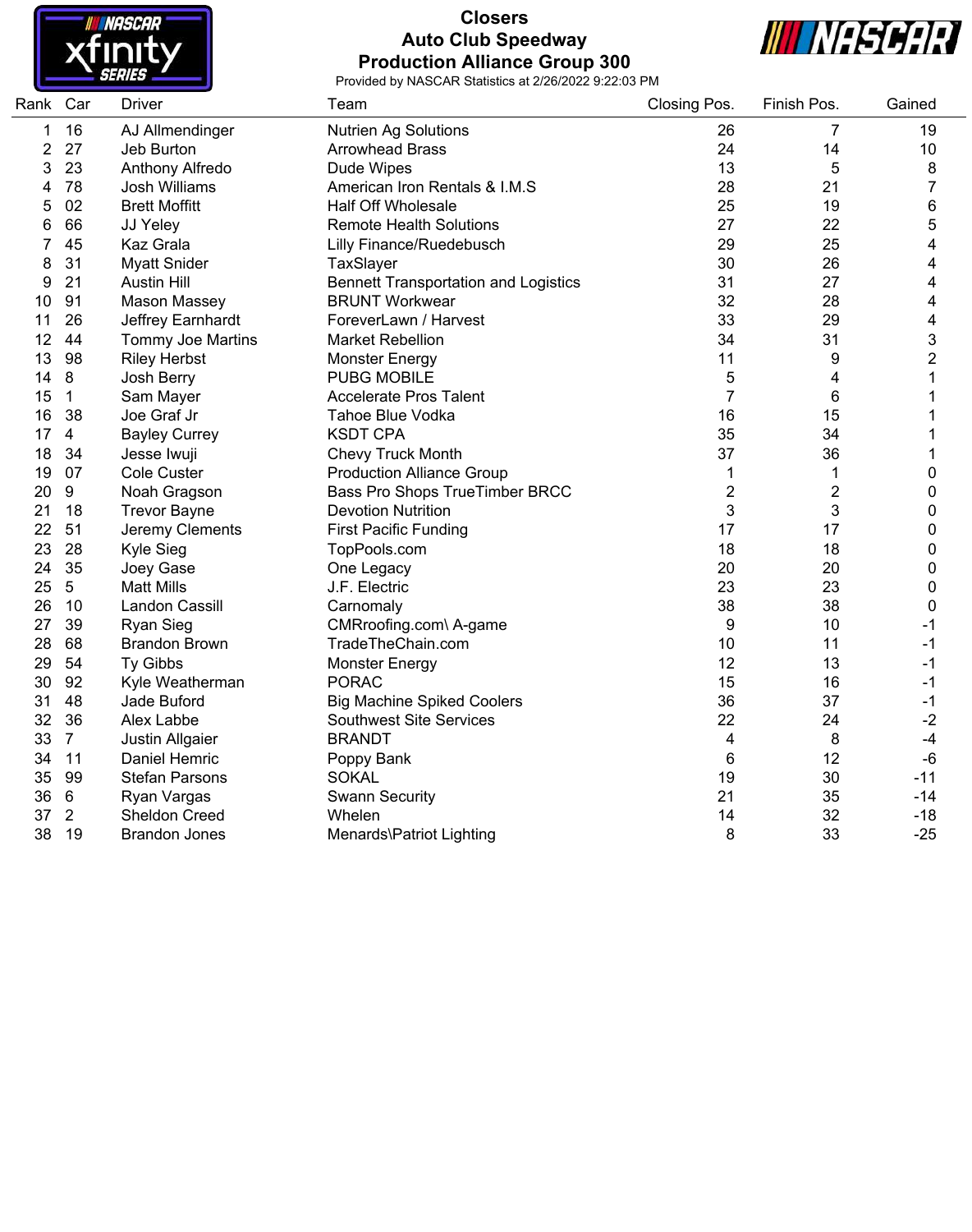

# **Closers Auto Club Speedway Production Alliance Group 300**



| Rank Car |                | <b>Driver</b>         | Team                                        | Closing Pos.   | Finish Pos.    | Gained                  |
|----------|----------------|-----------------------|---------------------------------------------|----------------|----------------|-------------------------|
| 1        | 16             | AJ Allmendinger       | <b>Nutrien Ag Solutions</b>                 | 26             | 7              | 19                      |
| 2        | 27             | Jeb Burton            | <b>Arrowhead Brass</b>                      | 24             | 14             | 10                      |
| 3        | 23             | Anthony Alfredo       | Dude Wipes                                  | 13             | 5              | 8                       |
| 4        | 78             | <b>Josh Williams</b>  | American Iron Rentals & I.M.S               | 28             | 21             | 7                       |
| 5        | 02             | <b>Brett Moffitt</b>  | <b>Half Off Wholesale</b>                   | 25             | 19             | 6                       |
| 6        | 66             | JJ Yeley              | <b>Remote Health Solutions</b>              | 27             | 22             | 5                       |
| 7        | 45             | Kaz Grala             | <b>Lilly Finance/Ruedebusch</b>             | 29             | 25             | $\overline{\mathbf{4}}$ |
| 8        | 31             | <b>Myatt Snider</b>   | TaxSlayer                                   | 30             | 26             | 4                       |
| 9        | 21             | <b>Austin Hill</b>    | <b>Bennett Transportation and Logistics</b> | 31             | 27             | 4                       |
| 10       | 91             | <b>Mason Massey</b>   | <b>BRUNT Workwear</b>                       | 32             | 28             | $\overline{\mathbf{4}}$ |
| 11       | 26             | Jeffrey Earnhardt     | ForeverLawn / Harvest                       | 33             | 29             | $\overline{\mathbf{4}}$ |
| 12       | 44             | Tommy Joe Martins     | <b>Market Rebellion</b>                     | 34             | 31             | 3                       |
| 13       | 98             | <b>Riley Herbst</b>   | <b>Monster Energy</b>                       | 11             | 9              | $\overline{2}$          |
| 14       | 8              | Josh Berry            | <b>PUBG MOBILE</b>                          | 5              | 4              | 1                       |
| 15       | $\mathbf{1}$   | Sam Mayer             | <b>Accelerate Pros Talent</b>               | $\overline{7}$ | 6              | 1                       |
| 16       | 38             | Joe Graf Jr           | Tahoe Blue Vodka                            | 16             | 15             | 1                       |
| 17       | $\overline{4}$ | <b>Bayley Currey</b>  | <b>KSDT CPA</b>                             | 35             | 34             |                         |
| 18       | 34             | Jesse Iwuji           | <b>Chevy Truck Month</b>                    | 37             | 36             | 1                       |
| 19       | 07             | Cole Custer           | <b>Production Alliance Group</b>            | 1              | 1              | 0                       |
| 20       | 9              | Noah Gragson          | Bass Pro Shops TrueTimber BRCC              | 2              | $\overline{c}$ | 0                       |
| 21       | 18             | <b>Trevor Bayne</b>   | <b>Devotion Nutrition</b>                   | 3              | 3              | 0                       |
| 22       | 51             | Jeremy Clements       | <b>First Pacific Funding</b>                | 17             | 17             | 0                       |
| 23       | 28             | Kyle Sieg             | TopPools.com                                | 18             | 18             | 0                       |
| 24       | 35             | Joey Gase             | One Legacy                                  | 20             | 20             | 0                       |
| 25       | $5\,$          | <b>Matt Mills</b>     | J.F. Electric                               | 23             | 23             | 0                       |
| 26       | 10             | Landon Cassill        | Carnomaly                                   | 38             | 38             | $\mathbf 0$             |
| 27       | 39             | <b>Ryan Sieg</b>      | CMRroofing.com\ A-game                      | 9              | 10             | $-1$                    |
| 28       | 68             | <b>Brandon Brown</b>  | TradeTheChain.com                           | 10             | 11             | $-1$                    |
| 29       | 54             | Ty Gibbs              | <b>Monster Energy</b>                       | 12             | 13             | -1                      |
| 30       | 92             | Kyle Weatherman       | <b>PORAC</b>                                | 15             | 16             | $-1$                    |
| 31       | 48             | Jade Buford           | <b>Big Machine Spiked Coolers</b>           | 36             | 37             | $-1$                    |
| 32       | 36             | Alex Labbe            | <b>Southwest Site Services</b>              | 22             | 24             | $-2$                    |
| 33       | $\overline{7}$ | Justin Allgaier       | <b>BRANDT</b>                               | 4              | 8              | $-4$                    |
| 34       | 11             | Daniel Hemric         | Poppy Bank                                  | $\,6$          | 12             | $-6$                    |
| 35       | 99             | <b>Stefan Parsons</b> | <b>SOKAL</b>                                | 19             | 30             | $-11$                   |
| 36       | 6              | Ryan Vargas           | <b>Swann Security</b>                       | 21             | 35             | $-14$                   |
| 37       | $\overline{2}$ | <b>Sheldon Creed</b>  | Whelen                                      | 14             | 32             | $-18$                   |
| 38       | 19             | <b>Brandon Jones</b>  | Menards\Patriot Lighting                    | 8              | 33             | $-25$                   |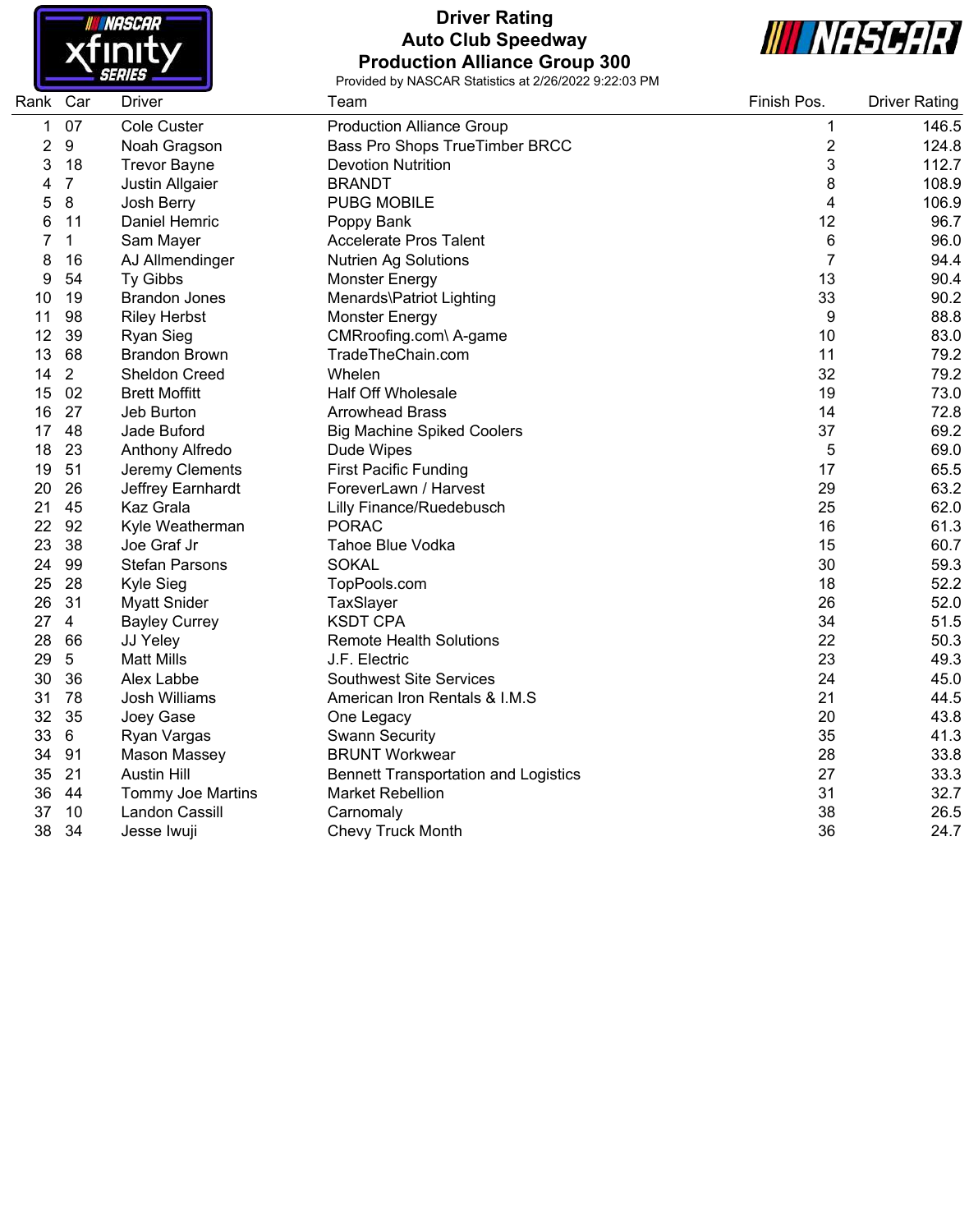

# **Driver Rating Auto Club Speedway Production Alliance Group 300**



| Rank | Car            | <b>Driver</b>            | Team                                        | Finish Pos.    | <b>Driver Rating</b> |
|------|----------------|--------------------------|---------------------------------------------|----------------|----------------------|
| 1    | 07             | Cole Custer              | <b>Production Alliance Group</b>            | 1              | 146.5                |
| 2    | 9              | Noah Gragson             | Bass Pro Shops TrueTimber BRCC              | 2              | 124.8                |
| 3    | 18             | <b>Trevor Bayne</b>      | <b>Devotion Nutrition</b>                   | 3              | 112.7                |
| 4    | $\overline{7}$ | Justin Allgaier          | <b>BRANDT</b>                               | 8              | 108.9                |
| 5    | 8              | Josh Berry               | <b>PUBG MOBILE</b>                          | 4              | 106.9                |
| 6    | 11             | Daniel Hemric            | Poppy Bank                                  | 12             | 96.7                 |
|      | $\mathbf{1}$   | Sam Mayer                | <b>Accelerate Pros Talent</b>               | 6              | 96.0                 |
| 8    | 16             | AJ Allmendinger          | <b>Nutrien Ag Solutions</b>                 | $\overline{7}$ | 94.4                 |
| 9    | 54             | Ty Gibbs                 | <b>Monster Energy</b>                       | 13             | 90.4                 |
| 10   | 19             | <b>Brandon Jones</b>     | Menards\Patriot Lighting                    | 33             | 90.2                 |
| 11   | 98             | <b>Riley Herbst</b>      | <b>Monster Energy</b>                       | 9              | 88.8                 |
| 12   | 39             | <b>Ryan Sieg</b>         | CMRroofing.com\ A-game                      | 10             | 83.0                 |
| 13   | 68             | <b>Brandon Brown</b>     | TradeTheChain.com                           | 11             | 79.2                 |
| 14   | $\overline{2}$ | <b>Sheldon Creed</b>     | Whelen                                      | 32             | 79.2                 |
| 15   | 02             | <b>Brett Moffitt</b>     | <b>Half Off Wholesale</b>                   | 19             | 73.0                 |
| 16   | 27             | Jeb Burton               | <b>Arrowhead Brass</b>                      | 14             | 72.8                 |
| 17   | 48             | Jade Buford              | <b>Big Machine Spiked Coolers</b>           | 37             | 69.2                 |
| 18   | 23             | Anthony Alfredo          | Dude Wipes                                  | 5              | 69.0                 |
| 19   | 51             | Jeremy Clements          | <b>First Pacific Funding</b>                | 17             | 65.5                 |
| 20   | 26             | Jeffrey Earnhardt        | ForeverLawn / Harvest                       | 29             | 63.2                 |
| 21   | 45             | Kaz Grala                | Lilly Finance/Ruedebusch                    | 25             | 62.0                 |
| 22   | 92             | Kyle Weatherman          | <b>PORAC</b>                                | 16             | 61.3                 |
| 23   | 38             | Joe Graf Jr              | Tahoe Blue Vodka                            | 15             | 60.7                 |
| 24   | 99             | <b>Stefan Parsons</b>    | <b>SOKAL</b>                                | 30             | 59.3                 |
| 25   | 28             | Kyle Sieg                | TopPools.com                                | 18             | 52.2                 |
| 26   | 31             | <b>Myatt Snider</b>      | TaxSlayer                                   | 26             | 52.0                 |
| 27   | $\overline{4}$ | <b>Bayley Currey</b>     | <b>KSDT CPA</b>                             | 34             | 51.5                 |
| 28   | 66             | JJ Yeley                 | <b>Remote Health Solutions</b>              | 22             | 50.3                 |
| 29   | 5              | <b>Matt Mills</b>        | J.F. Electric                               | 23             | 49.3                 |
| 30   | 36             | Alex Labbe               | <b>Southwest Site Services</b>              | 24             | 45.0                 |
| 31   | 78             | Josh Williams            | American Iron Rentals & I.M.S               | 21             | 44.5                 |
| 32   | 35             | Joey Gase                | One Legacy                                  | 20             | 43.8                 |
| 33   | 6              | Ryan Vargas              | <b>Swann Security</b>                       | 35             | 41.3                 |
| 34   | 91             | <b>Mason Massey</b>      | <b>BRUNT Workwear</b>                       | 28             | 33.8                 |
| 35   | 21             | <b>Austin Hill</b>       | <b>Bennett Transportation and Logistics</b> | 27             | 33.3                 |
| 36   | 44             | <b>Tommy Joe Martins</b> | <b>Market Rebellion</b>                     | 31             | 32.7                 |
| 37   | 10             | Landon Cassill           | Carnomaly                                   | 38             | 26.5                 |
| 38   | 34             | Jesse Iwuji              | <b>Chevy Truck Month</b>                    | 36             | 24.7                 |
|      |                |                          |                                             |                |                      |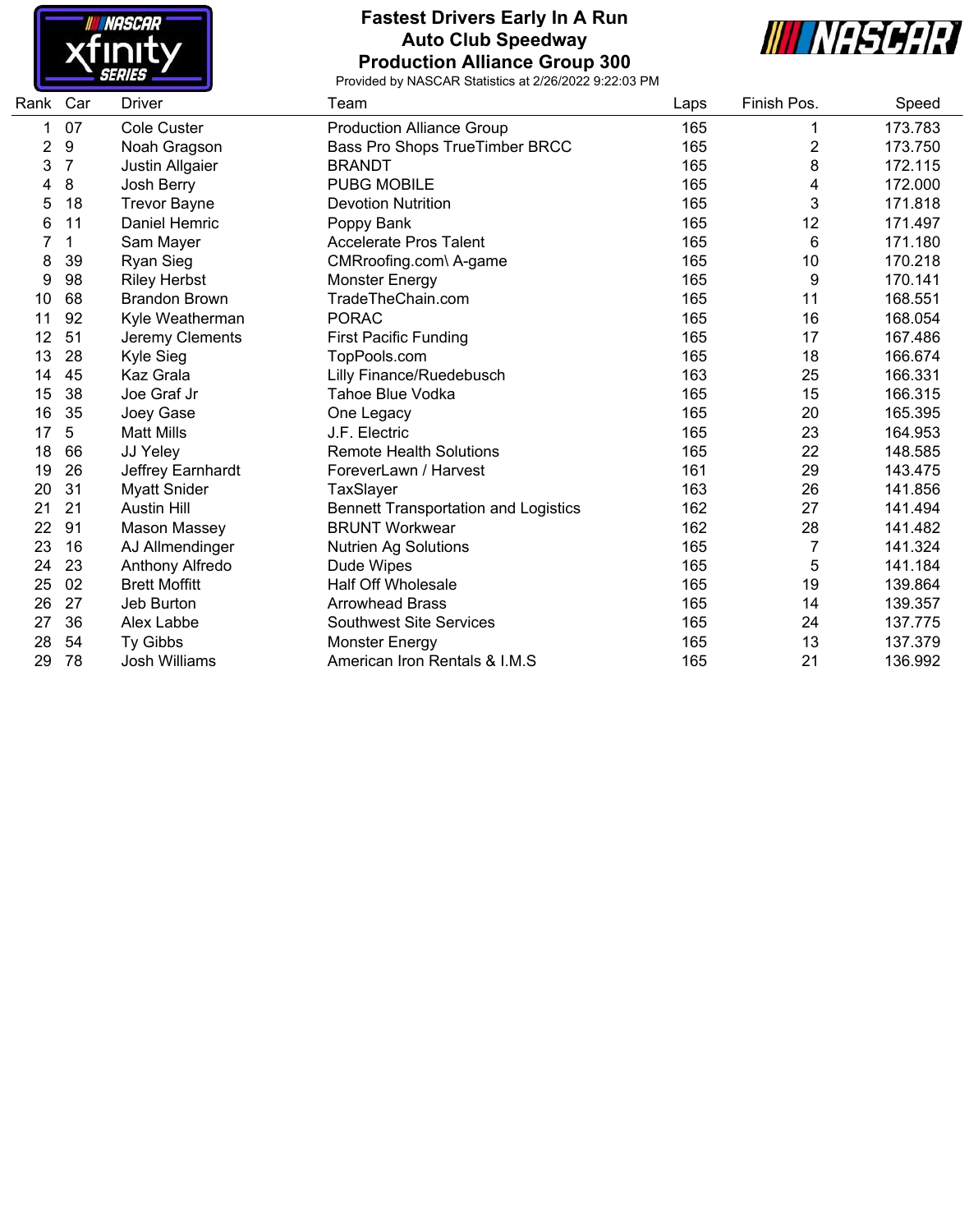

#### **Fastest Drivers Early In A Run Auto Club Speedway Production Alliance Group 300**



| Rank<br>Car | <b>Driver</b>        | Team                                        | Laps | Finish Pos. | Speed   |
|-------------|----------------------|---------------------------------------------|------|-------------|---------|
| 07          | <b>Cole Custer</b>   | <b>Production Alliance Group</b>            | 165  | 1           | 173.783 |
| 9           | Noah Gragson         | Bass Pro Shops TrueTimber BRCC              | 165  | 2           | 173.750 |
| 7           | Justin Allgaier      | <b>BRANDT</b>                               | 165  | 8           | 172.115 |
| 8           | Josh Berry           | <b>PUBG MOBILE</b>                          | 165  | 4           | 172.000 |
| 18          | <b>Trevor Bayne</b>  | <b>Devotion Nutrition</b>                   | 165  | 3           | 171.818 |
| 11          | Daniel Hemric        | Poppy Bank                                  | 165  | 12          | 171.497 |
| 1           | Sam Mayer            | <b>Accelerate Pros Talent</b>               | 165  | 6           | 171.180 |
| 39          | <b>Ryan Sieg</b>     | CMRroofing.com\ A-game                      | 165  | 10          | 170.218 |
| 98          | <b>Riley Herbst</b>  | <b>Monster Energy</b>                       | 165  | 9           | 170.141 |
| 68          | <b>Brandon Brown</b> | TradeTheChain.com                           | 165  | 11          | 168.551 |
| 92          | Kyle Weatherman      | <b>PORAC</b>                                | 165  | 16          | 168.054 |
| 51          | Jeremy Clements      | <b>First Pacific Funding</b>                | 165  | 17          | 167.486 |
| 28          | Kyle Sieg            | TopPools.com                                | 165  | 18          | 166.674 |
| 45          | Kaz Grala            | Lilly Finance/Ruedebusch                    | 163  | 25          | 166.331 |
| 38          | Joe Graf Jr          | <b>Tahoe Blue Vodka</b>                     | 165  | 15          | 166.315 |
| 35          | Joey Gase            | One Legacy                                  | 165  | 20          | 165.395 |
| 5           | <b>Matt Mills</b>    | J.F. Electric                               | 165  | 23          | 164.953 |
| 66          | JJ Yeley             | <b>Remote Health Solutions</b>              | 165  | 22          | 148.585 |
| 26          | Jeffrey Earnhardt    | ForeverLawn / Harvest                       | 161  | 29          | 143.475 |
| 31          | <b>Myatt Snider</b>  | TaxSlayer                                   | 163  | 26          | 141.856 |
| 21          | <b>Austin Hill</b>   | <b>Bennett Transportation and Logistics</b> | 162  | 27          | 141.494 |
| 91          | Mason Massey         | <b>BRUNT Workwear</b>                       | 162  | 28          | 141.482 |
| 16          | AJ Allmendinger      | <b>Nutrien Ag Solutions</b>                 | 165  | 7           | 141.324 |
| 23          | Anthony Alfredo      | Dude Wipes                                  | 165  | 5           | 141.184 |
| 02          | <b>Brett Moffitt</b> | <b>Half Off Wholesale</b>                   | 165  | 19          | 139.864 |
| 27          | Jeb Burton           | <b>Arrowhead Brass</b>                      | 165  | 14          | 139.357 |
| 36          | Alex Labbe           | <b>Southwest Site Services</b>              | 165  | 24          | 137.775 |
| 54          | <b>Ty Gibbs</b>      | <b>Monster Energy</b>                       | 165  | 13          | 137.379 |
| 78          | <b>Josh Williams</b> | American Iron Rentals & I.M.S               | 165  | 21          | 136.992 |
|             |                      |                                             |      |             |         |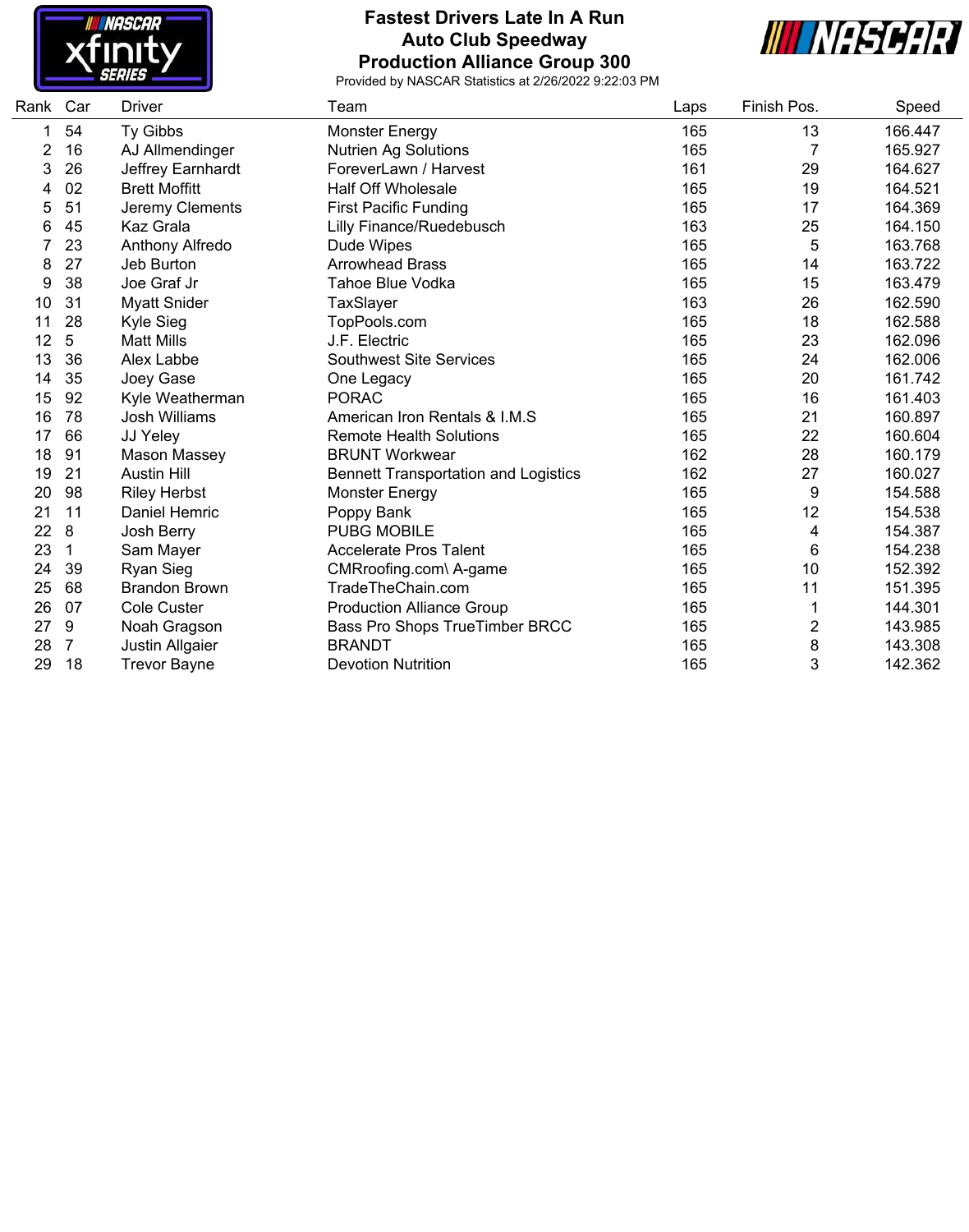

### **Fastest Drivers Late In A Run Auto Club Speedway Production Alliance Group 300**



| Rank | Car | Driver               | Team                                        | Laps | Finish Pos. | Speed   |
|------|-----|----------------------|---------------------------------------------|------|-------------|---------|
| 1    | 54  | Ty Gibbs             | <b>Monster Energy</b>                       | 165  | 13          | 166.447 |
| 2    | 16  | AJ Allmendinger      | <b>Nutrien Ag Solutions</b>                 | 165  | 7           | 165.927 |
| 3    | 26  | Jeffrey Earnhardt    | ForeverLawn / Harvest                       | 161  | 29          | 164.627 |
|      | 02  | <b>Brett Moffitt</b> | <b>Half Off Wholesale</b>                   | 165  | 19          | 164.521 |
| 5    | 51  | Jeremy Clements      | <b>First Pacific Funding</b>                | 165  | 17          | 164.369 |
| 6    | 45  | Kaz Grala            | <b>Lilly Finance/Ruedebusch</b>             | 163  | 25          | 164.150 |
|      | 23  | Anthony Alfredo      | Dude Wipes                                  | 165  | 5           | 163.768 |
| 8    | 27  | Jeb Burton           | <b>Arrowhead Brass</b>                      | 165  | 14          | 163.722 |
| 9    | 38  | Joe Graf Jr          | Tahoe Blue Vodka                            | 165  | 15          | 163.479 |
| 10   | 31  | <b>Myatt Snider</b>  | TaxSlayer                                   | 163  | 26          | 162.590 |
| 11   | 28  | Kyle Sieg            | TopPools.com                                | 165  | 18          | 162.588 |
| 12   | 5   | <b>Matt Mills</b>    | J.F. Electric                               | 165  | 23          | 162.096 |
| 13   | 36  | Alex Labbe           | <b>Southwest Site Services</b>              | 165  | 24          | 162.006 |
| 14   | 35  | Joey Gase            | One Legacy                                  | 165  | 20          | 161.742 |
| 15   | 92  | Kyle Weatherman      | <b>PORAC</b>                                | 165  | 16          | 161.403 |
| 16   | 78  | <b>Josh Williams</b> | American Iron Rentals & I.M.S               | 165  | 21          | 160.897 |
| 17   | 66  | JJ Yeley             | <b>Remote Health Solutions</b>              | 165  | 22          | 160.604 |
| 18   | 91  | Mason Massey         | <b>BRUNT Workwear</b>                       | 162  | 28          | 160.179 |
| 19   | 21  | <b>Austin Hill</b>   | <b>Bennett Transportation and Logistics</b> | 162  | 27          | 160.027 |
| 20   | 98  | <b>Riley Herbst</b>  | <b>Monster Energy</b>                       | 165  | 9           | 154.588 |
| 21   | 11  | Daniel Hemric        | Poppy Bank                                  | 165  | 12          | 154.538 |
| 22   | 8   | Josh Berry           | <b>PUBG MOBILE</b>                          | 165  | 4           | 154.387 |
| 23   | 1   | Sam Mayer            | <b>Accelerate Pros Talent</b>               | 165  | 6           | 154.238 |
| 24   | 39  | Ryan Sieg            | CMRroofing.com\ A-game                      | 165  | 10          | 152.392 |
| 25   | 68  | <b>Brandon Brown</b> | TradeTheChain.com                           | 165  | 11          | 151.395 |
| 26   | 07  | <b>Cole Custer</b>   | <b>Production Alliance Group</b>            | 165  | 1           | 144.301 |
| 27   | 9   | Noah Gragson         | Bass Pro Shops TrueTimber BRCC              | 165  | 2           | 143.985 |
| 28   | 7   | Justin Allgaier      | <b>BRANDT</b>                               | 165  | 8           | 143.308 |
| 29   | 18  | <b>Trevor Bayne</b>  | <b>Devotion Nutrition</b>                   | 165  | 3           | 142.362 |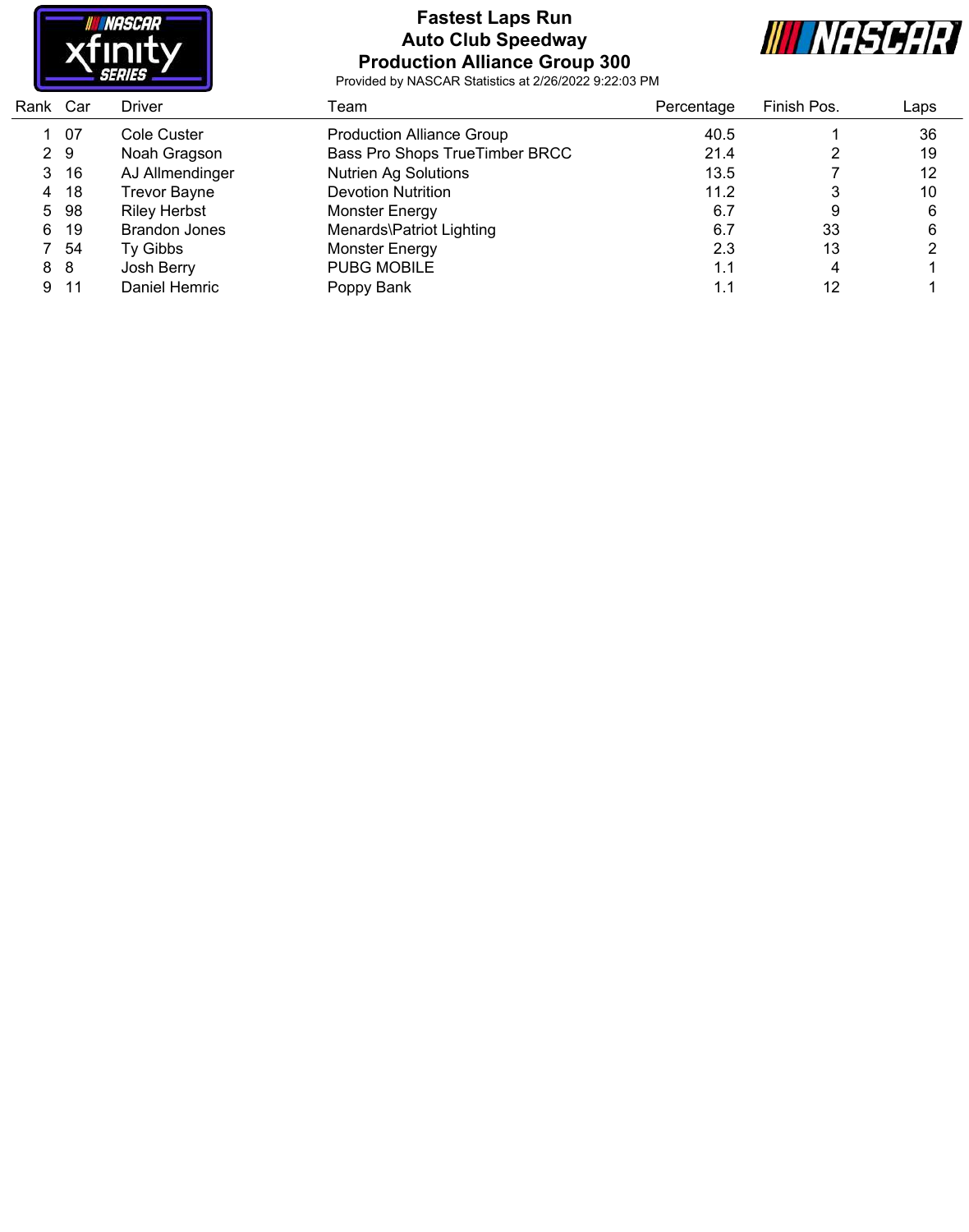

## **Fastest Laps Run Auto Club Speedway Production Alliance Group 300**



| Rank Car |       | <b>Driver</b>        | Геаm                             | Percentage | Finish Pos. | Laps |
|----------|-------|----------------------|----------------------------------|------------|-------------|------|
|          | 1 07  | Cole Custer          | <b>Production Alliance Group</b> | 40.5       |             | 36   |
|          | 2 9   | Noah Gragson         | Bass Pro Shops TrueTimber BRCC   | 21.4       |             | 19   |
|          | 3, 16 | AJ Allmendinger      | <b>Nutrien Ag Solutions</b>      | 13.5       |             | 12   |
|          | 4 18  | <b>Trevor Bayne</b>  | <b>Devotion Nutrition</b>        | 11.2       |             | 10   |
|          | 5 98  | <b>Riley Herbst</b>  | Monster Energy                   | 6.7        | 9           | 6    |
|          | 6 19  | <b>Brandon Jones</b> | Menards\Patriot Lighting         | 6.7        | 33          | 6    |
|          | 7 54  | Ty Gibbs             | Monster Energy                   | 2.3        | 13          |      |
|          | 8 8   | Josh Berry           | <b>PUBG MOBILE</b>               | 1.1        | 4           |      |
|          | 9 11  | Daniel Hemric        | Poppy Bank                       | 1.1        | 12          |      |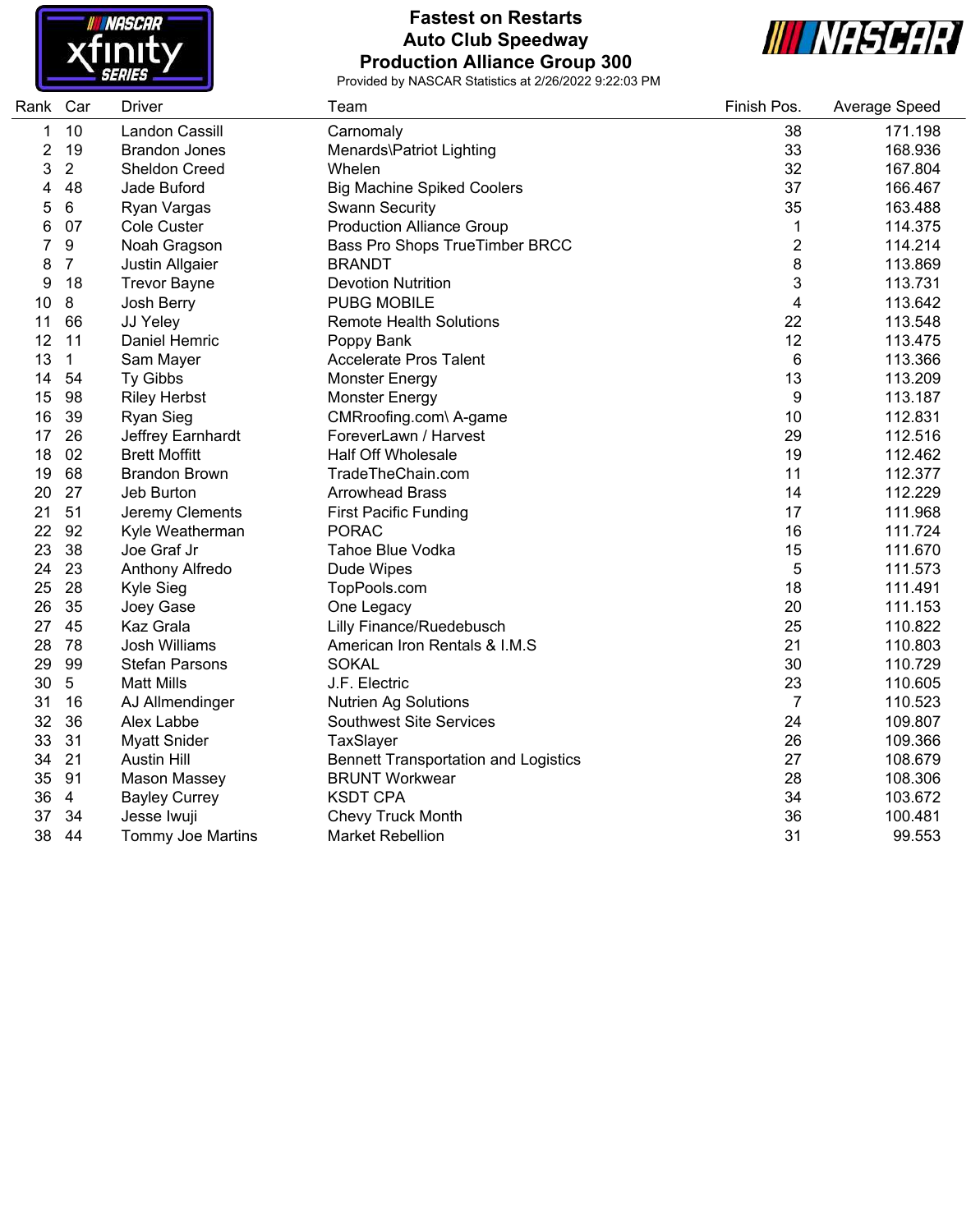

# **Fastest on Restarts Auto Club Speedway Production Alliance Group 300**



| Rank Car |                | Driver                   | Team                                        | Finish Pos.    | Average Speed |
|----------|----------------|--------------------------|---------------------------------------------|----------------|---------------|
| 1        | 10             | Landon Cassill           | Carnomaly                                   | 38             | 171.198       |
| 2        | 19             | <b>Brandon Jones</b>     | Menards\Patriot Lighting                    | 33             | 168.936       |
| 3        | $\overline{2}$ | <b>Sheldon Creed</b>     | Whelen                                      | 32             | 167.804       |
| 4        | 48             | Jade Buford              | <b>Big Machine Spiked Coolers</b>           | 37             | 166.467       |
| 5        | 6              | Ryan Vargas              | <b>Swann Security</b>                       | 35             | 163.488       |
| 6        | 07             | <b>Cole Custer</b>       | <b>Production Alliance Group</b>            | $\mathbf 1$    | 114.375       |
| 7        | 9              | Noah Gragson             | Bass Pro Shops TrueTimber BRCC              | $\overline{c}$ | 114.214       |
| 8        | $\overline{7}$ | Justin Allgaier          | <b>BRANDT</b>                               | 8              | 113.869       |
| 9        | 18             | <b>Trevor Bayne</b>      | <b>Devotion Nutrition</b>                   | 3              | 113.731       |
| 10       | 8              | Josh Berry               | <b>PUBG MOBILE</b>                          | 4              | 113.642       |
| 11       | 66             | JJ Yeley                 | <b>Remote Health Solutions</b>              | 22             | 113.548       |
| 12       | 11             | Daniel Hemric            | Poppy Bank                                  | 12             | 113.475       |
| 13       | 1              | Sam Mayer                | <b>Accelerate Pros Talent</b>               | 6              | 113.366       |
| 14       | 54             | Ty Gibbs                 | <b>Monster Energy</b>                       | 13             | 113.209       |
| 15       | 98             | <b>Riley Herbst</b>      | <b>Monster Energy</b>                       | 9              | 113.187       |
| 16       | 39             | Ryan Sieg                | CMRroofing.com\ A-game                      | 10             | 112.831       |
| 17       | 26             | Jeffrey Earnhardt        | ForeverLawn / Harvest                       | 29             | 112.516       |
| 18       | 02             | <b>Brett Moffitt</b>     | <b>Half Off Wholesale</b>                   | 19             | 112.462       |
| 19       | 68             | <b>Brandon Brown</b>     | TradeTheChain.com                           | 11             | 112.377       |
| 20       | 27             | Jeb Burton               | <b>Arrowhead Brass</b>                      | 14             | 112.229       |
| 21       | 51             | Jeremy Clements          | <b>First Pacific Funding</b>                | 17             | 111.968       |
| 22       | 92             | Kyle Weatherman          | <b>PORAC</b>                                | 16             | 111.724       |
| 23       | 38             | Joe Graf Jr              | Tahoe Blue Vodka                            | 15             | 111.670       |
| 24       | 23             | Anthony Alfredo          | Dude Wipes                                  | 5              | 111.573       |
| 25       | 28             | Kyle Sieg                | TopPools.com                                | 18             | 111.491       |
| 26       | 35             | Joey Gase                | One Legacy                                  | 20             | 111.153       |
| 27       | 45             | Kaz Grala                | <b>Lilly Finance/Ruedebusch</b>             | 25             | 110.822       |
| 28       | 78             | <b>Josh Williams</b>     | American Iron Rentals & I.M.S               | 21             | 110.803       |
| 29       | 99             | <b>Stefan Parsons</b>    | <b>SOKAL</b>                                | 30             | 110.729       |
| 30       | $5\,$          | <b>Matt Mills</b>        | J.F. Electric                               | 23             | 110.605       |
| 31       | 16             | AJ Allmendinger          | <b>Nutrien Ag Solutions</b>                 | $\overline{7}$ | 110.523       |
| 32       | 36             | Alex Labbe               | <b>Southwest Site Services</b>              | 24             | 109.807       |
| 33       | 31             | <b>Myatt Snider</b>      | TaxSlayer                                   | 26             | 109.366       |
| 34       | 21             | <b>Austin Hill</b>       | <b>Bennett Transportation and Logistics</b> | 27             | 108.679       |
| 35       | 91             | <b>Mason Massey</b>      | <b>BRUNT Workwear</b>                       | 28             | 108.306       |
| 36       | $\overline{4}$ | <b>Bayley Currey</b>     | <b>KSDT CPA</b>                             | 34             | 103.672       |
| 37       | 34             | Jesse Iwuji              | Chevy Truck Month                           | 36             | 100.481       |
| 38       | 44             | <b>Tommy Joe Martins</b> | <b>Market Rebellion</b>                     | 31             | 99.553        |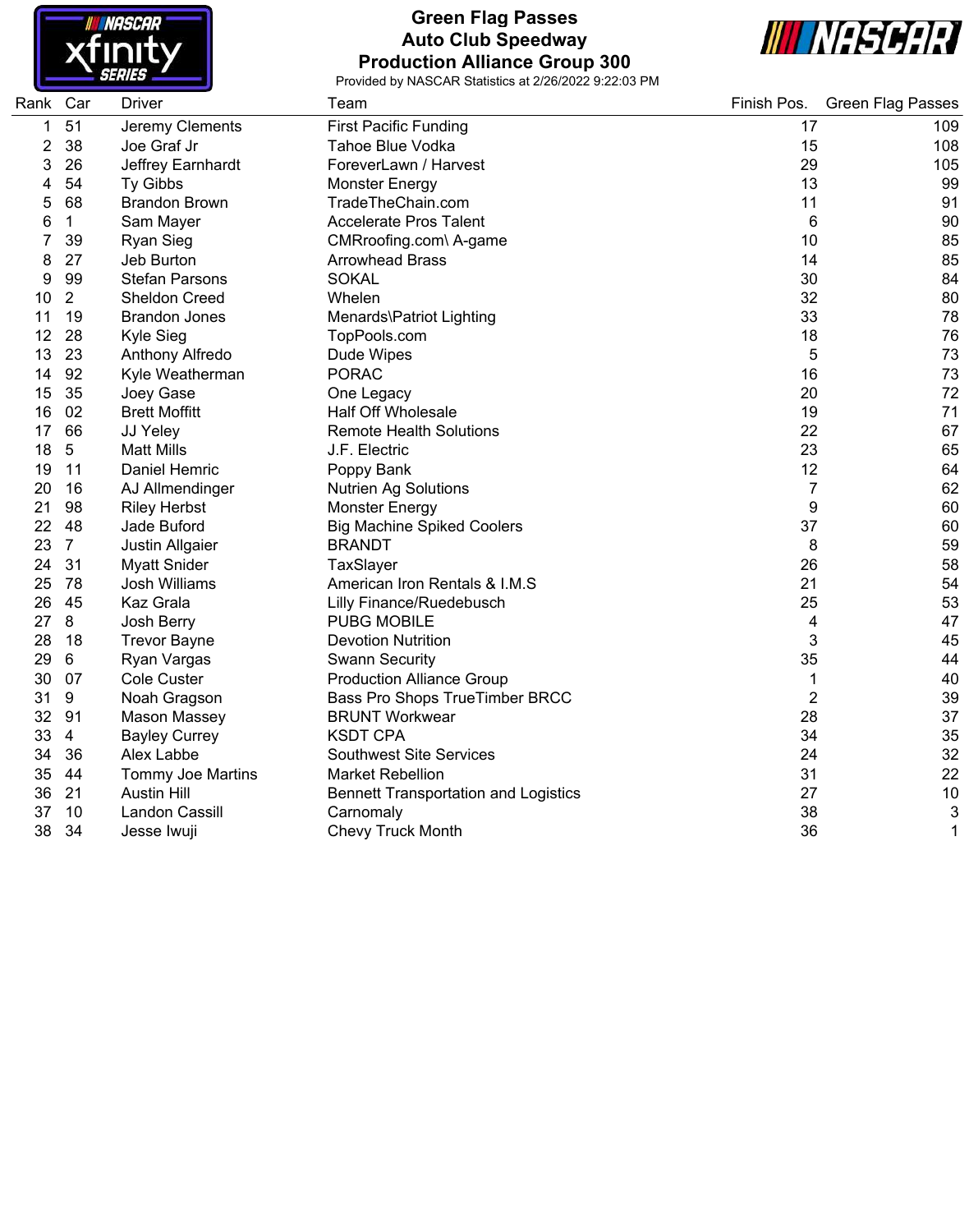

### **Green Flag Passes Auto Club Speedway Production Alliance Group 300**



| Rank Car |                | <b>Driver</b>            | Team                                        | Finish Pos.    | <b>Green Flag Passes</b> |
|----------|----------------|--------------------------|---------------------------------------------|----------------|--------------------------|
| 1        | 51             | Jeremy Clements          | <b>First Pacific Funding</b>                | 17             | 109                      |
| 2        | 38             | Joe Graf Jr              | Tahoe Blue Vodka                            | 15             | 108                      |
| 3        | 26             | Jeffrey Earnhardt        | ForeverLawn / Harvest                       | 29             | 105                      |
| 4        | 54             | Ty Gibbs                 | <b>Monster Energy</b>                       | 13             | 99                       |
| 5        | 68             | <b>Brandon Brown</b>     | TradeTheChain.com                           | 11             | 91                       |
| 6        | 1              | Sam Mayer                | <b>Accelerate Pros Talent</b>               | 6              | 90                       |
|          | 39             | <b>Ryan Sieg</b>         | CMRroofing.com\ A-game                      | 10             | 85                       |
| 8        | 27             | Jeb Burton               | <b>Arrowhead Brass</b>                      | 14             | 85                       |
| 9        | 99             | <b>Stefan Parsons</b>    | <b>SOKAL</b>                                | 30             | 84                       |
| 10       | $\overline{2}$ | Sheldon Creed            | Whelen                                      | 32             | 80                       |
| 11       | 19             | <b>Brandon Jones</b>     | Menards\Patriot Lighting                    | 33             | 78                       |
| 12       | 28             | Kyle Sieg                | TopPools.com                                | 18             | 76                       |
| 13       | 23             | Anthony Alfredo          | Dude Wipes                                  | 5              | 73                       |
| 14       | 92             | Kyle Weatherman          | <b>PORAC</b>                                | 16             | 73                       |
| 15       | 35             | Joey Gase                | One Legacy                                  | 20             | 72                       |
| 16       | 02             | <b>Brett Moffitt</b>     | <b>Half Off Wholesale</b>                   | 19             | 71                       |
| 17       | 66             | JJ Yeley                 | <b>Remote Health Solutions</b>              | 22             | 67                       |
| 18       | 5              | <b>Matt Mills</b>        | J.F. Electric                               | 23             | 65                       |
| 19       | 11             | Daniel Hemric            | Poppy Bank                                  | 12             | 64                       |
| 20       | 16             | AJ Allmendinger          | <b>Nutrien Ag Solutions</b>                 | 7              | 62                       |
| 21       | 98             | <b>Riley Herbst</b>      | <b>Monster Energy</b>                       | 9              | 60                       |
| 22       | 48             | Jade Buford              | <b>Big Machine Spiked Coolers</b>           | 37             | 60                       |
| 23       | $\overline{7}$ | Justin Allgaier          | <b>BRANDT</b>                               | 8              | 59                       |
| 24       | 31             | <b>Myatt Snider</b>      | TaxSlayer                                   | 26             | 58                       |
| 25       | 78             | Josh Williams            | American Iron Rentals & I.M.S               | 21             | 54                       |
| 26       | 45             | Kaz Grala                | Lilly Finance/Ruedebusch                    | 25             | 53                       |
| 27       | 8              | Josh Berry               | <b>PUBG MOBILE</b>                          | 4              | 47                       |
| 28       | 18             | <b>Trevor Bayne</b>      | <b>Devotion Nutrition</b>                   | 3              | 45                       |
| 29       | 6              | Ryan Vargas              | <b>Swann Security</b>                       | 35             | 44                       |
| 30       | 07             | <b>Cole Custer</b>       | <b>Production Alliance Group</b>            | 1              | 40                       |
| 31       | 9              | Noah Gragson             | Bass Pro Shops TrueTimber BRCC              | $\overline{2}$ | 39                       |
| 32       | 91             | Mason Massey             | <b>BRUNT Workwear</b>                       | 28             | 37                       |
| 33       | $\overline{4}$ | <b>Bayley Currey</b>     | <b>KSDT CPA</b>                             | 34             | 35                       |
| 34       | 36             | Alex Labbe               | <b>Southwest Site Services</b>              | 24             | 32                       |
| 35       | 44             | <b>Tommy Joe Martins</b> | <b>Market Rebellion</b>                     | 31             | 22                       |
| 36       | 21             | <b>Austin Hill</b>       | <b>Bennett Transportation and Logistics</b> | 27             | 10                       |
| 37       | 10             | Landon Cassill           | Carnomaly                                   | 38             | 3                        |
| 38       | 34             | Jesse Iwuji              | <b>Chevy Truck Month</b>                    | 36             | 1                        |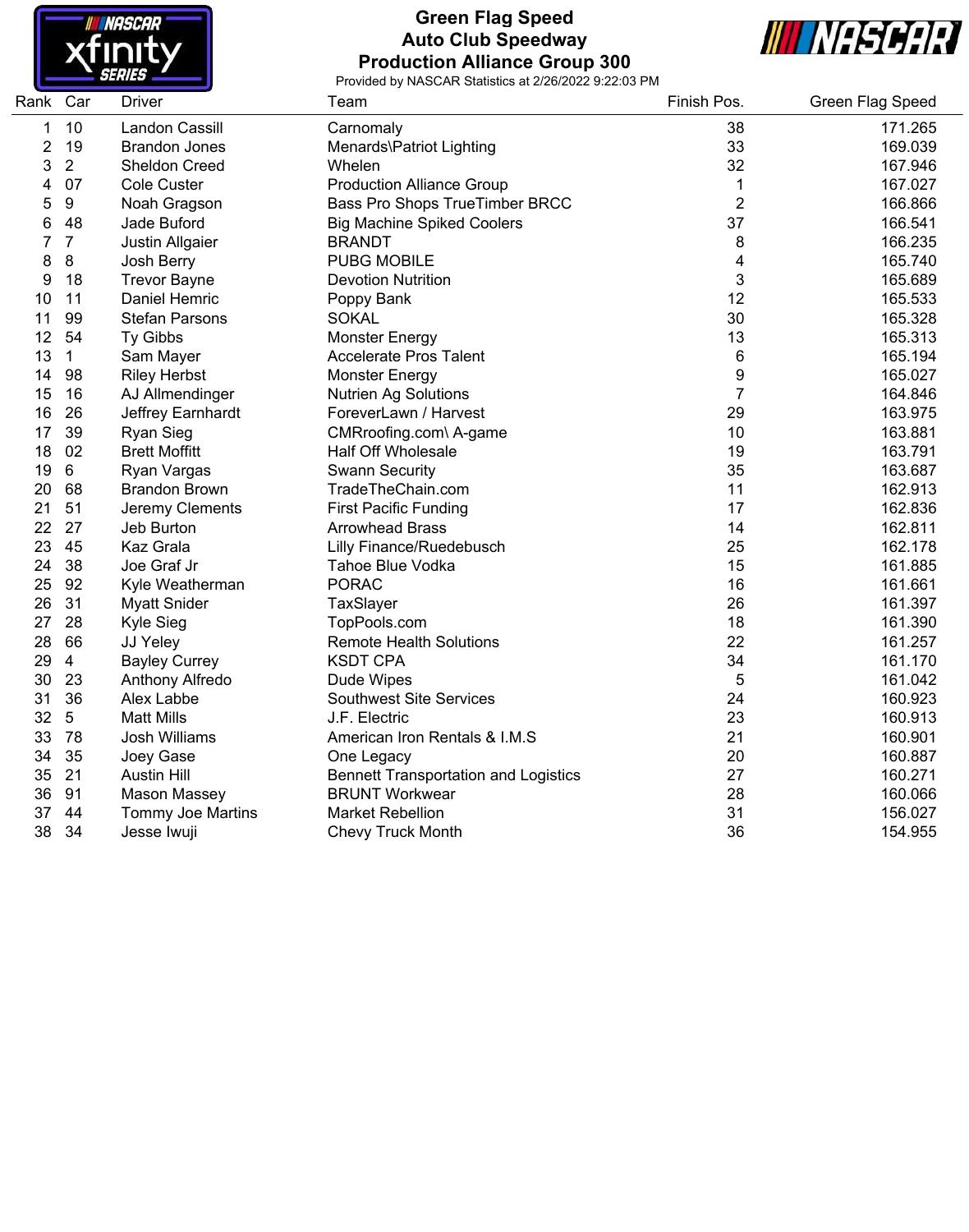

## **Green Flag Speed Auto Club Speedway Production Alliance Group 300**



e e

| Rank | Car            | <b>Driver</b>            | Team                                        | Finish Pos.    | <b>Green Flag Speed</b> |
|------|----------------|--------------------------|---------------------------------------------|----------------|-------------------------|
| 1    | 10             | <b>Landon Cassill</b>    | Carnomaly                                   | 38             | 171.265                 |
| 2    | 19             | <b>Brandon Jones</b>     | Menards\Patriot Lighting                    | 33             | 169.039                 |
| 3    | $\overline{2}$ | <b>Sheldon Creed</b>     | Whelen                                      | 32             | 167.946                 |
| 4    | 07             | <b>Cole Custer</b>       | <b>Production Alliance Group</b>            | 1              | 167.027                 |
| 5    | $9\,$          | Noah Gragson             | Bass Pro Shops TrueTimber BRCC              | $\overline{2}$ | 166.866                 |
| 6    | 48             | Jade Buford              | <b>Big Machine Spiked Coolers</b>           | 37             | 166.541                 |
| 7    | $\overline{7}$ | Justin Allgaier          | <b>BRANDT</b>                               | 8              | 166.235                 |
| 8    | $\bf 8$        | Josh Berry               | <b>PUBG MOBILE</b>                          | 4              | 165.740                 |
| 9    | 18             | <b>Trevor Bayne</b>      | <b>Devotion Nutrition</b>                   | 3              | 165.689                 |
| 10   | 11             | Daniel Hemric            | Poppy Bank                                  | 12             | 165.533                 |
| 11   | 99             | <b>Stefan Parsons</b>    | <b>SOKAL</b>                                | 30             | 165.328                 |
| 12   | 54             | Ty Gibbs                 | <b>Monster Energy</b>                       | 13             | 165.313                 |
| 13   | 1              | Sam Mayer                | <b>Accelerate Pros Talent</b>               | 6              | 165.194                 |
| 14   | 98             | <b>Riley Herbst</b>      | <b>Monster Energy</b>                       | 9              | 165.027                 |
| 15   | 16             | AJ Allmendinger          | <b>Nutrien Ag Solutions</b>                 | $\overline{7}$ | 164.846                 |
| 16   | 26             | Jeffrey Earnhardt        | ForeverLawn / Harvest                       | 29             | 163.975                 |
| 17   | 39             | Ryan Sieg                | CMRroofing.com\ A-game                      | 10             | 163.881                 |
| 18   | 02             | <b>Brett Moffitt</b>     | <b>Half Off Wholesale</b>                   | 19             | 163.791                 |
| 19   | 6              | Ryan Vargas              | <b>Swann Security</b>                       | 35             | 163.687                 |
| 20   | 68             | <b>Brandon Brown</b>     | TradeTheChain.com                           | 11             | 162.913                 |
| 21   | 51             | Jeremy Clements          | <b>First Pacific Funding</b>                | 17             | 162.836                 |
| 22   | 27             | Jeb Burton               | <b>Arrowhead Brass</b>                      | 14             | 162.811                 |
| 23   | 45             | Kaz Grala                | Lilly Finance/Ruedebusch                    | 25             | 162.178                 |
| 24   | 38             | Joe Graf Jr              | Tahoe Blue Vodka                            | 15             | 161.885                 |
| 25   | 92             | Kyle Weatherman          | <b>PORAC</b>                                | 16             | 161.661                 |
| 26   | 31             | <b>Myatt Snider</b>      | TaxSlayer                                   | 26             | 161.397                 |
| 27   | 28             | Kyle Sieg                | TopPools.com                                | 18             | 161.390                 |
| 28   | 66             | JJ Yeley                 | <b>Remote Health Solutions</b>              | 22             | 161.257                 |
| 29   | 4              | <b>Bayley Currey</b>     | <b>KSDT CPA</b>                             | 34             | 161.170                 |
| 30   | 23             | Anthony Alfredo          | Dude Wipes                                  | 5              | 161.042                 |
| 31   | 36             | Alex Labbe               | <b>Southwest Site Services</b>              | 24             | 160.923                 |
| 32   | $5\,$          | <b>Matt Mills</b>        | J.F. Electric                               | 23             | 160.913                 |
| 33   | 78             | Josh Williams            | American Iron Rentals & I.M.S               | 21             | 160.901                 |
| 34   | 35             | Joey Gase                | One Legacy                                  | 20             | 160.887                 |
| 35   | 21             | <b>Austin Hill</b>       | <b>Bennett Transportation and Logistics</b> | 27             | 160.271                 |
| 36   | 91             | Mason Massey             | <b>BRUNT Workwear</b>                       | 28             | 160.066                 |
| 37   | 44             | <b>Tommy Joe Martins</b> | <b>Market Rebellion</b>                     | 31             | 156.027                 |
| 38   | 34             | Jesse Iwuji              | <b>Chevy Truck Month</b>                    | 36             | 154.955                 |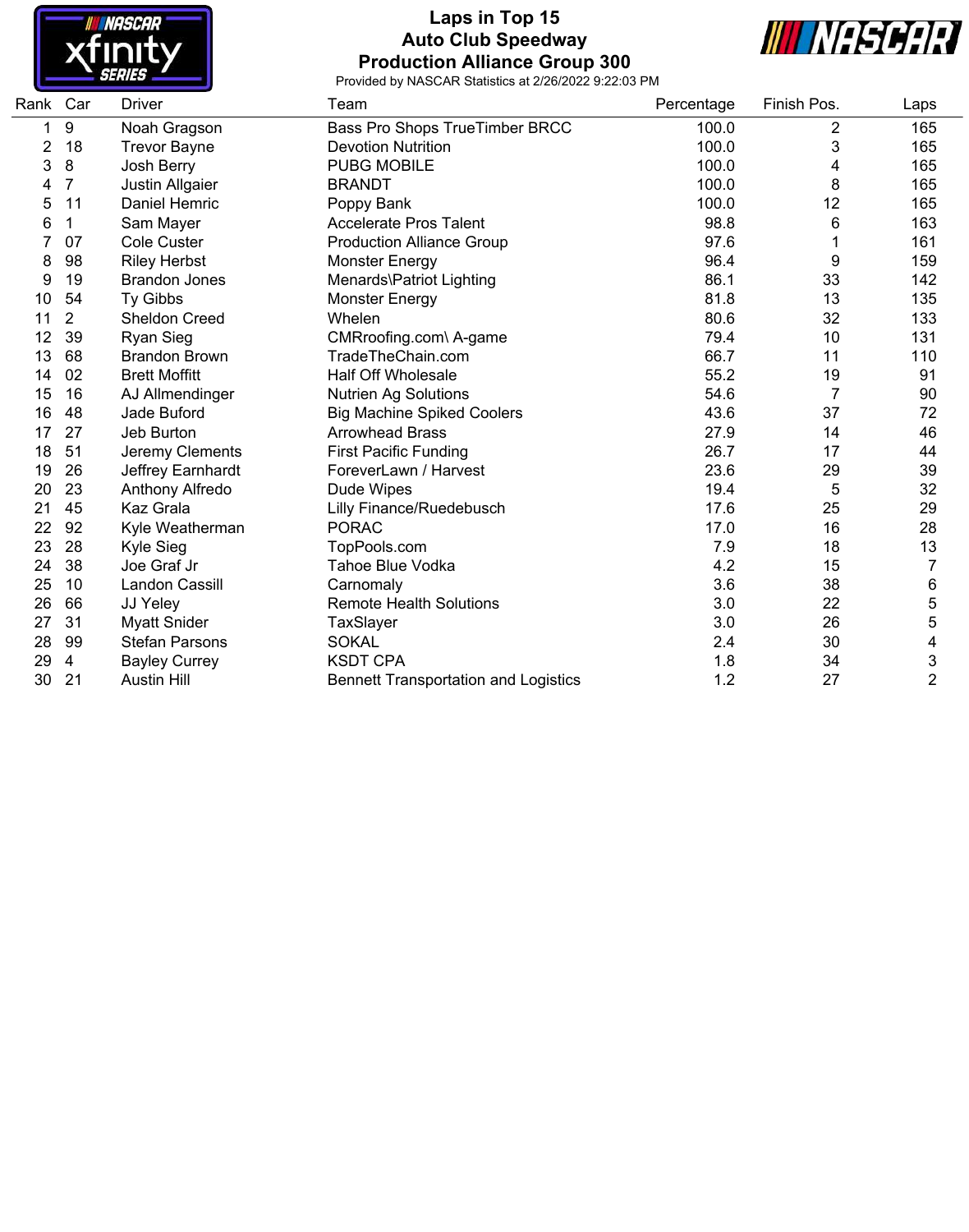

## **Laps in Top 15 Auto Club Speedway Production Alliance Group 300**



| Rank | Car            | <b>Driver</b>         | Team                                        | Percentage | Finish Pos.    | Laps           |
|------|----------------|-----------------------|---------------------------------------------|------------|----------------|----------------|
| 1    | 9              | Noah Gragson          | Bass Pro Shops TrueTimber BRCC              | 100.0      | $\overline{2}$ | 165            |
| 2    | 18             | <b>Trevor Bayne</b>   | <b>Devotion Nutrition</b>                   | 100.0      | 3              | 165            |
| 3    | 8              | Josh Berry            | <b>PUBG MOBILE</b>                          | 100.0      | 4              | 165            |
|      | 7              | Justin Allgaier       | <b>BRANDT</b>                               | 100.0      | 8              | 165            |
| 5    | 11             | Daniel Hemric         | Poppy Bank                                  | 100.0      | 12             | 165            |
| 6    | 1              | Sam Mayer             | <b>Accelerate Pros Talent</b>               | 98.8       | 6              | 163            |
|      | 07             | <b>Cole Custer</b>    | <b>Production Alliance Group</b>            | 97.6       |                | 161            |
| 8    | 98             | <b>Riley Herbst</b>   | <b>Monster Energy</b>                       | 96.4       | 9              | 159            |
| 9    | 19             | <b>Brandon Jones</b>  | Menards\Patriot Lighting                    | 86.1       | 33             | 142            |
| 10   | 54             | Ty Gibbs              | Monster Energy                              | 81.8       | 13             | 135            |
| 11   | $\overline{2}$ | <b>Sheldon Creed</b>  | Whelen                                      | 80.6       | 32             | 133            |
| 12   | 39             | <b>Ryan Sieg</b>      | CMRroofing.com\ A-game                      | 79.4       | 10             | 131            |
| 13   | 68             | <b>Brandon Brown</b>  | TradeTheChain.com                           | 66.7       | 11             | 110            |
| 14   | 02             | <b>Brett Moffitt</b>  | <b>Half Off Wholesale</b>                   | 55.2       | 19             | 91             |
| 15   | 16             | AJ Allmendinger       | <b>Nutrien Ag Solutions</b>                 | 54.6       | 7              | 90             |
| 16   | 48             | Jade Buford           | <b>Big Machine Spiked Coolers</b>           | 43.6       | 37             | 72             |
| 17   | 27             | Jeb Burton            | <b>Arrowhead Brass</b>                      | 27.9       | 14             | 46             |
| 18   | 51             | Jeremy Clements       | <b>First Pacific Funding</b>                | 26.7       | 17             | 44             |
| 19   | 26             | Jeffrey Earnhardt     | ForeverLawn / Harvest                       | 23.6       | 29             | 39             |
| 20   | 23             | Anthony Alfredo       | Dude Wipes                                  | 19.4       | 5              | 32             |
| 21   | 45             | Kaz Grala             | Lilly Finance/Ruedebusch                    | 17.6       | 25             | 29             |
| 22   | 92             | Kyle Weatherman       | <b>PORAC</b>                                | 17.0       | 16             | 28             |
| 23   | 28             | Kyle Sieg             | TopPools.com                                | 7.9        | 18             | 13             |
| 24   | 38             | Joe Graf Jr           | Tahoe Blue Vodka                            | 4.2        | 15             | $\overline{7}$ |
| 25   | 10             | Landon Cassill        | Carnomaly                                   | 3.6        | 38             | 6              |
| 26   | 66             | JJ Yeley              | <b>Remote Health Solutions</b>              | 3.0        | 22             | 5              |
| 27   | 31             | <b>Myatt Snider</b>   | TaxSlayer                                   | 3.0        | 26             | 5              |
| 28   | 99             | <b>Stefan Parsons</b> | <b>SOKAL</b>                                | 2.4        | 30             | 4              |
| 29   | 4              | <b>Bayley Currey</b>  | <b>KSDT CPA</b>                             | 1.8        | 34             | 3              |
| 30   | 21             | <b>Austin Hill</b>    | <b>Bennett Transportation and Logistics</b> | 1.2        | 27             | $\overline{2}$ |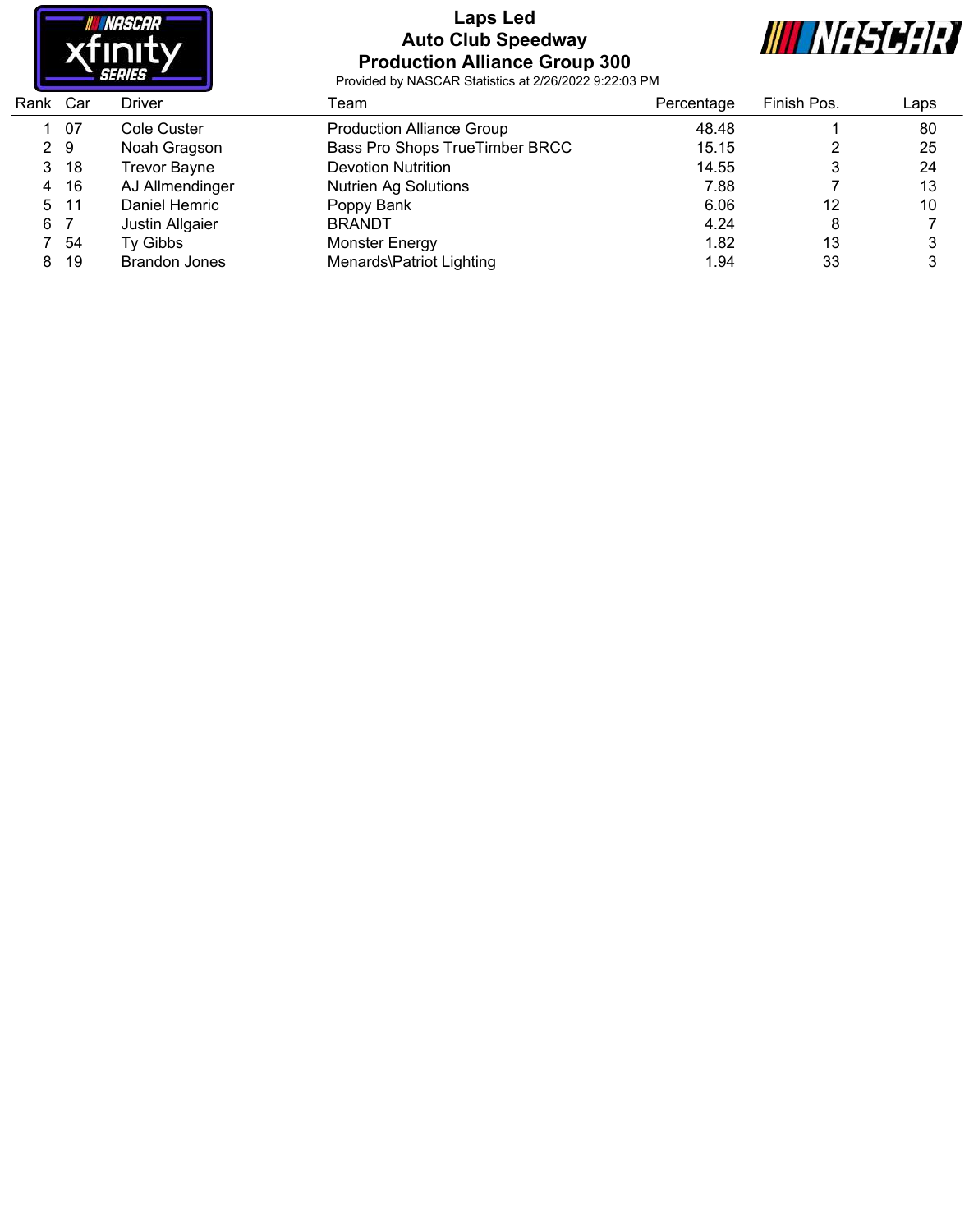

### **Laps Led Auto Club Speedway Production Alliance Group 300**



| Rank Car |      | Driver               | Геаm                             | Percentage | Finish Pos. | Laps |  |
|----------|------|----------------------|----------------------------------|------------|-------------|------|--|
|          | 07   | Cole Custer          | <b>Production Alliance Group</b> | 48.48      |             | 80   |  |
| 2 9      |      | Noah Gragson         | Bass Pro Shops TrueTimber BRCC   | 15.15      |             | 25   |  |
| 3        | -18  | <b>Trevor Bayne</b>  | <b>Devotion Nutrition</b>        | 14.55      | 3           | 24   |  |
| 4        | -16  | AJ Allmendinger      | <b>Nutrien Ag Solutions</b>      | 7.88       |             | 13   |  |
| 5        | - 11 | Daniel Hemric        | Poppy Bank                       | 6.06       | 12          | 10   |  |
| 6.       |      | Justin Allgaier      | <b>BRANDT</b>                    | 4.24       | 8           |      |  |
|          | -54  | Ty Gibbs             | Monster Energy                   | 1.82       | 13          |      |  |
| 8        | 19   | <b>Brandon Jones</b> | Menards\Patriot Lighting         | 1.94       | 33          |      |  |
|          |      |                      |                                  |            |             |      |  |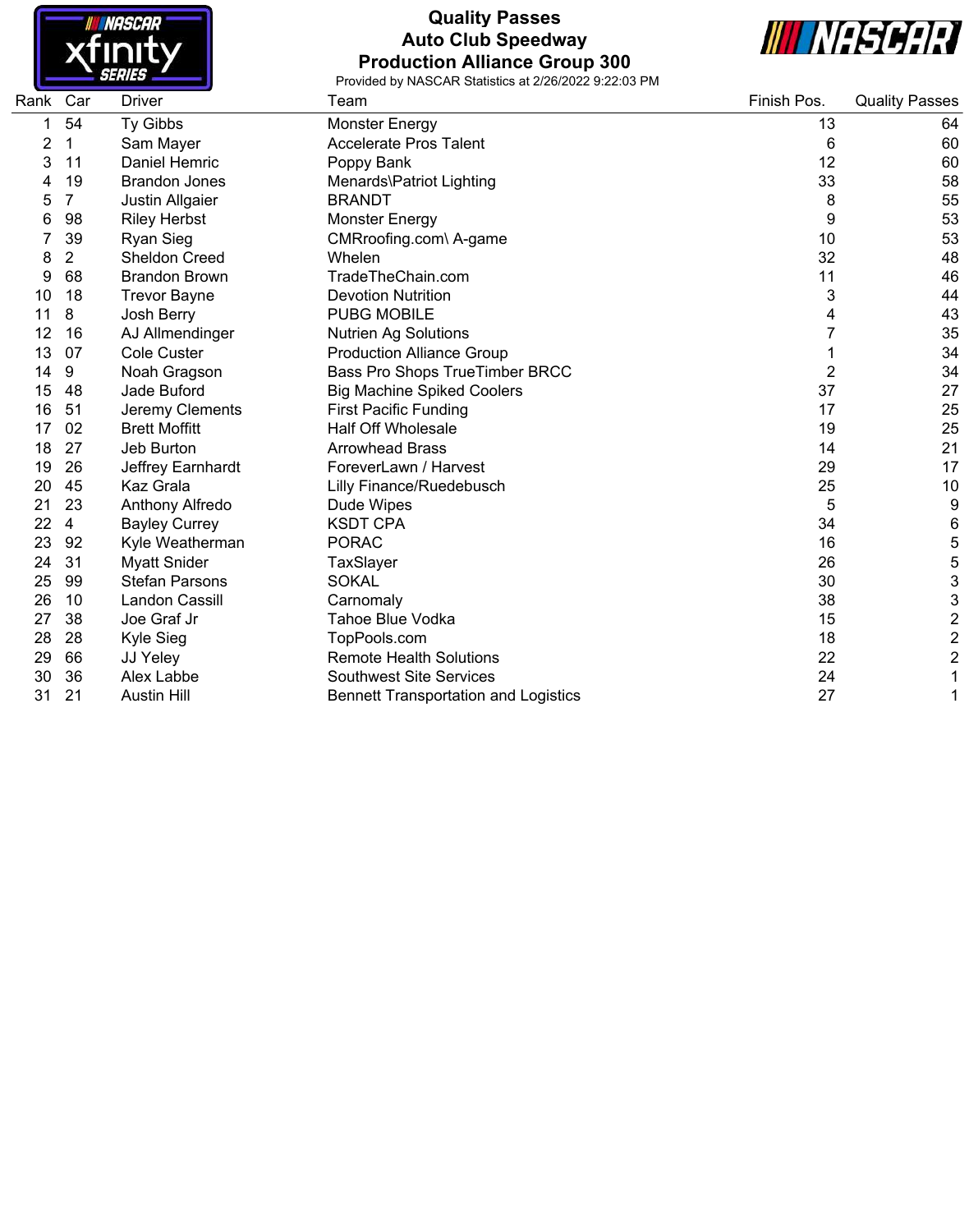

# **Quality Passes Auto Club Speedway Production Alliance Group 300**



| Rank | Car | <b>Driver</b>         | Team                                        | Finish Pos. | <b>Quality Passes</b>     |
|------|-----|-----------------------|---------------------------------------------|-------------|---------------------------|
|      | 54  | Ty Gibbs              | <b>Monster Energy</b>                       | 13          | 64                        |
| 2    | 1   | Sam Mayer             | <b>Accelerate Pros Talent</b>               | 6           | 60                        |
| 3    | 11  | Daniel Hemric         | Poppy Bank                                  | 12          | 60                        |
|      | 19  | <b>Brandon Jones</b>  | Menards\Patriot Lighting                    | 33          | 58                        |
| 5    | 7   | Justin Allgaier       | <b>BRANDT</b>                               | 8           | 55                        |
| 6    | 98  | <b>Riley Herbst</b>   | <b>Monster Energy</b>                       | 9           | 53                        |
|      | 39  | <b>Ryan Sieg</b>      | CMRroofing.com\ A-game                      | 10          | 53                        |
| 8    | 2   | <b>Sheldon Creed</b>  | Whelen                                      | 32          | 48                        |
| 9    | 68  | <b>Brandon Brown</b>  | TradeTheChain.com                           | 11          | 46                        |
| 10   | 18  | <b>Trevor Bayne</b>   | <b>Devotion Nutrition</b>                   | 3           | 44                        |
| 11   | 8   | Josh Berry            | <b>PUBG MOBILE</b>                          | 4           | 43                        |
| 12   | 16  | AJ Allmendinger       | <b>Nutrien Ag Solutions</b>                 |             | 35                        |
| 13   | 07  | <b>Cole Custer</b>    | <b>Production Alliance Group</b>            |             | 34                        |
| 14   | 9   | Noah Gragson          | Bass Pro Shops TrueTimber BRCC              | 2           | 34                        |
| 15   | 48  | Jade Buford           | <b>Big Machine Spiked Coolers</b>           | 37          | 27                        |
| 16   | 51  | Jeremy Clements       | <b>First Pacific Funding</b>                | 17          | 25                        |
| 17   | 02  | <b>Brett Moffitt</b>  | <b>Half Off Wholesale</b>                   | 19          | 25                        |
| 18   | 27  | Jeb Burton            | <b>Arrowhead Brass</b>                      | 14          | 21                        |
| 19   | 26  | Jeffrey Earnhardt     | ForeverLawn / Harvest                       | 29          | 17                        |
| 20   | 45  | Kaz Grala             | Lilly Finance/Ruedebusch                    | 25          | 10                        |
| 21   | 23  | Anthony Alfredo       | Dude Wipes                                  | 5           | 9                         |
| 22   | 4   | <b>Bayley Currey</b>  | <b>KSDT CPA</b>                             | 34          | 6                         |
| 23   | 92  | Kyle Weatherman       | <b>PORAC</b>                                | 16          | $\mathbf 5$               |
| 24   | 31  | <b>Myatt Snider</b>   | TaxSlayer                                   | 26          | 5                         |
| 25   | 99  | <b>Stefan Parsons</b> | <b>SOKAL</b>                                | 30          | $\ensuremath{\mathsf{3}}$ |
| 26   | 10  | <b>Landon Cassill</b> | Carnomaly                                   | 38          | 3                         |
| 27   | 38  | Joe Graf Jr           | <b>Tahoe Blue Vodka</b>                     | 15          | $\boldsymbol{2}$          |
| 28   | 28  | Kyle Sieg             | TopPools.com                                | 18          | $\boldsymbol{2}$          |
| 29   | 66  | JJ Yeley              | <b>Remote Health Solutions</b>              | 22          | $\overline{\mathbf{c}}$   |
| 30   | 36  | Alex Labbe            | <b>Southwest Site Services</b>              | 24          | 1                         |
| 31   | 21  | <b>Austin Hill</b>    | <b>Bennett Transportation and Logistics</b> | 27          | 1                         |